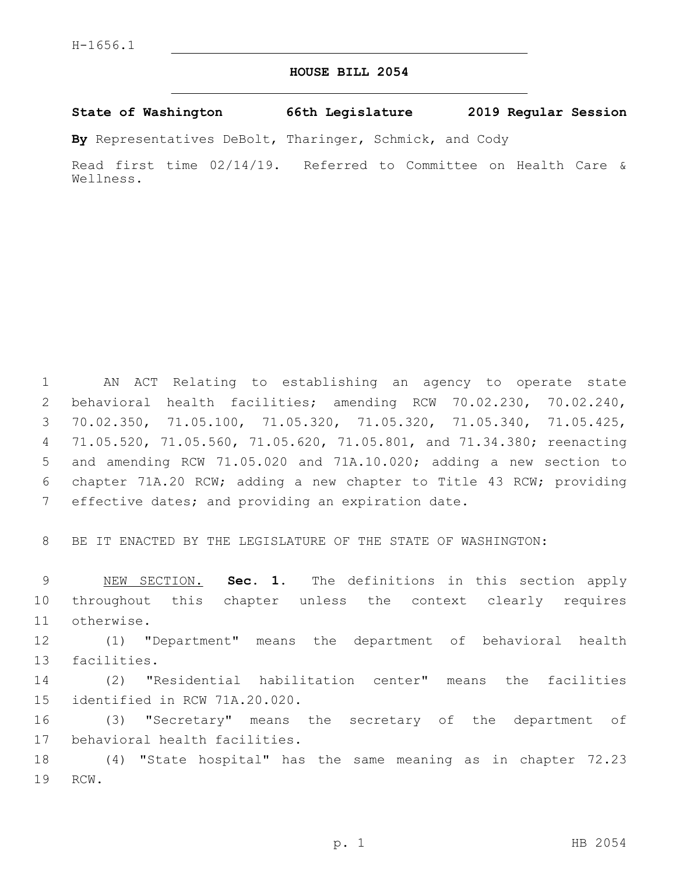## **HOUSE BILL 2054**

**State of Washington 66th Legislature 2019 Regular Session**

**By** Representatives DeBolt, Tharinger, Schmick, and Cody

Read first time 02/14/19. Referred to Committee on Health Care & Wellness.

 AN ACT Relating to establishing an agency to operate state behavioral health facilities; amending RCW 70.02.230, 70.02.240, 70.02.350, 71.05.100, 71.05.320, 71.05.320, 71.05.340, 71.05.425, 71.05.520, 71.05.560, 71.05.620, 71.05.801, and 71.34.380; reenacting and amending RCW 71.05.020 and 71A.10.020; adding a new section to chapter 71A.20 RCW; adding a new chapter to Title 43 RCW; providing 7 effective dates; and providing an expiration date.

8 BE IT ENACTED BY THE LEGISLATURE OF THE STATE OF WASHINGTON:

9 NEW SECTION. **Sec. 1.** The definitions in this section apply 10 throughout this chapter unless the context clearly requires 11 otherwise.

12 (1) "Department" means the department of behavioral health 13 facilities.

14 (2) "Residential habilitation center" means the facilities 15 identified in RCW 71A.20.020.

16 (3) "Secretary" means the secretary of the department of 17 behavioral health facilities.

18 (4) "State hospital" has the same meaning as in chapter 72.23 19 RCW.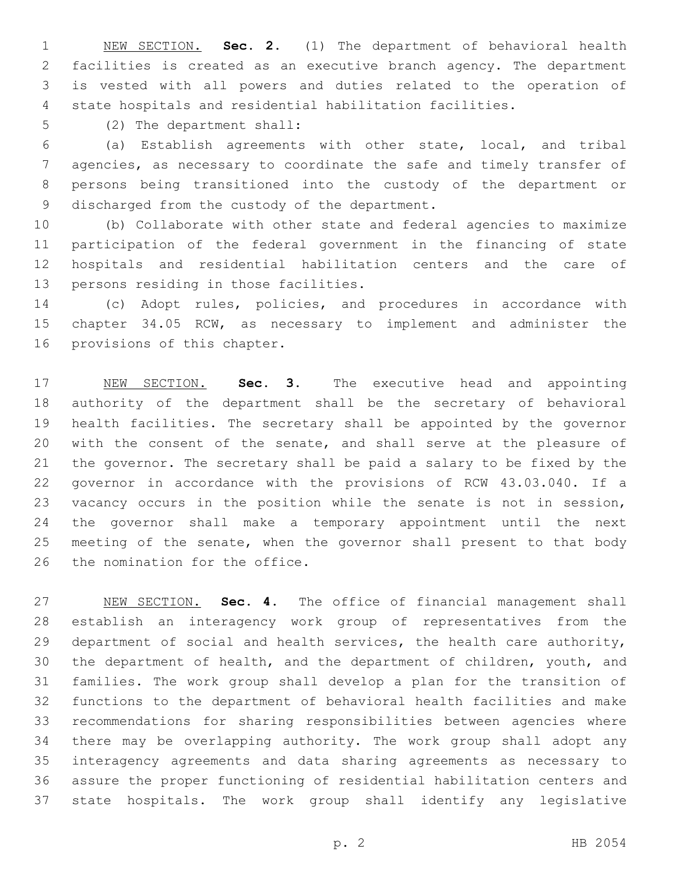NEW SECTION. **Sec. 2.** (1) The department of behavioral health facilities is created as an executive branch agency. The department is vested with all powers and duties related to the operation of state hospitals and residential habilitation facilities.

5 (2) The department shall:

 (a) Establish agreements with other state, local, and tribal agencies, as necessary to coordinate the safe and timely transfer of persons being transitioned into the custody of the department or 9 discharged from the custody of the department.

 (b) Collaborate with other state and federal agencies to maximize participation of the federal government in the financing of state hospitals and residential habilitation centers and the care of 13 persons residing in those facilities.

 (c) Adopt rules, policies, and procedures in accordance with chapter 34.05 RCW, as necessary to implement and administer the 16 provisions of this chapter.

 NEW SECTION. **Sec. 3.** The executive head and appointing authority of the department shall be the secretary of behavioral health facilities. The secretary shall be appointed by the governor with the consent of the senate, and shall serve at the pleasure of the governor. The secretary shall be paid a salary to be fixed by the governor in accordance with the provisions of RCW 43.03.040. If a vacancy occurs in the position while the senate is not in session, the governor shall make a temporary appointment until the next 25 meeting of the senate, when the governor shall present to that body the nomination for the office.

 NEW SECTION. **Sec. 4.** The office of financial management shall establish an interagency work group of representatives from the department of social and health services, the health care authority, the department of health, and the department of children, youth, and families. The work group shall develop a plan for the transition of functions to the department of behavioral health facilities and make recommendations for sharing responsibilities between agencies where there may be overlapping authority. The work group shall adopt any interagency agreements and data sharing agreements as necessary to assure the proper functioning of residential habilitation centers and state hospitals. The work group shall identify any legislative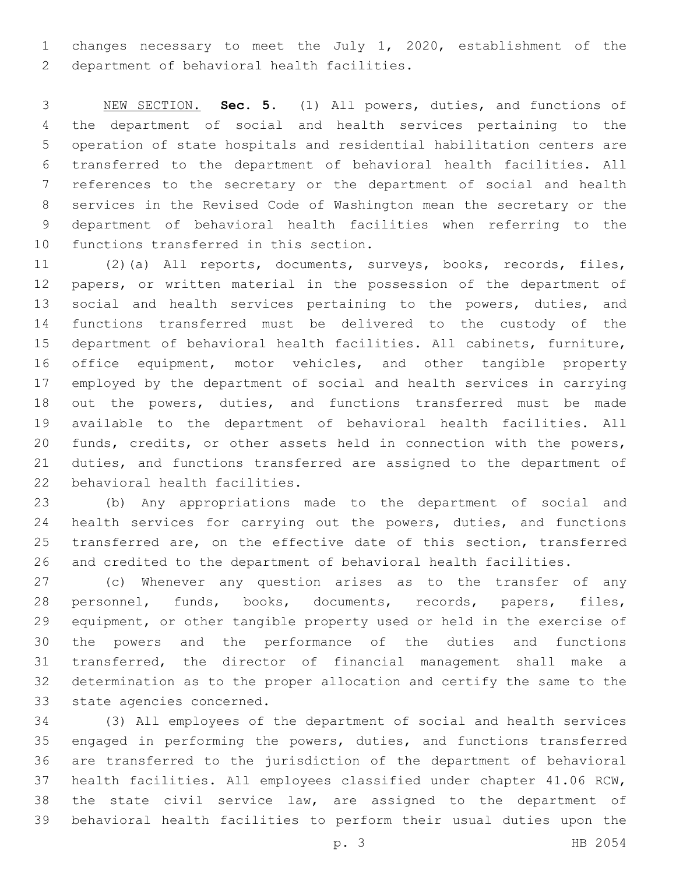changes necessary to meet the July 1, 2020, establishment of the 2 department of behavioral health facilities.

 NEW SECTION. **Sec. 5.** (1) All powers, duties, and functions of the department of social and health services pertaining to the operation of state hospitals and residential habilitation centers are transferred to the department of behavioral health facilities. All references to the secretary or the department of social and health services in the Revised Code of Washington mean the secretary or the department of behavioral health facilities when referring to the functions transferred in this section.

 (2)(a) All reports, documents, surveys, books, records, files, papers, or written material in the possession of the department of 13 social and health services pertaining to the powers, duties, and functions transferred must be delivered to the custody of the department of behavioral health facilities. All cabinets, furniture, office equipment, motor vehicles, and other tangible property employed by the department of social and health services in carrying out the powers, duties, and functions transferred must be made available to the department of behavioral health facilities. All funds, credits, or other assets held in connection with the powers, duties, and functions transferred are assigned to the department of 22 behavioral health facilities.

 (b) Any appropriations made to the department of social and 24 health services for carrying out the powers, duties, and functions transferred are, on the effective date of this section, transferred and credited to the department of behavioral health facilities.

 (c) Whenever any question arises as to the transfer of any personnel, funds, books, documents, records, papers, files, equipment, or other tangible property used or held in the exercise of the powers and the performance of the duties and functions transferred, the director of financial management shall make a determination as to the proper allocation and certify the same to the 33 state agencies concerned.

 (3) All employees of the department of social and health services engaged in performing the powers, duties, and functions transferred are transferred to the jurisdiction of the department of behavioral health facilities. All employees classified under chapter 41.06 RCW, the state civil service law, are assigned to the department of behavioral health facilities to perform their usual duties upon the

p. 3 HB 2054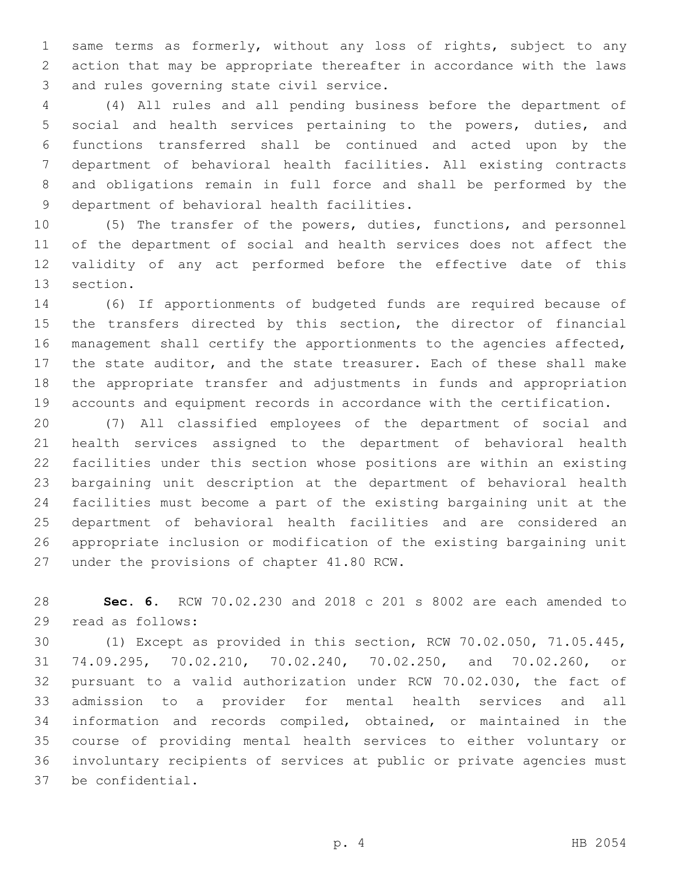same terms as formerly, without any loss of rights, subject to any action that may be appropriate thereafter in accordance with the laws 3 and rules governing state civil service.

 (4) All rules and all pending business before the department of social and health services pertaining to the powers, duties, and functions transferred shall be continued and acted upon by the department of behavioral health facilities. All existing contracts and obligations remain in full force and shall be performed by the 9 department of behavioral health facilities.

 (5) The transfer of the powers, duties, functions, and personnel of the department of social and health services does not affect the validity of any act performed before the effective date of this 13 section.

 (6) If apportionments of budgeted funds are required because of 15 the transfers directed by this section, the director of financial management shall certify the apportionments to the agencies affected, the state auditor, and the state treasurer. Each of these shall make the appropriate transfer and adjustments in funds and appropriation accounts and equipment records in accordance with the certification.

 (7) All classified employees of the department of social and health services assigned to the department of behavioral health facilities under this section whose positions are within an existing bargaining unit description at the department of behavioral health facilities must become a part of the existing bargaining unit at the department of behavioral health facilities and are considered an appropriate inclusion or modification of the existing bargaining unit 27 under the provisions of chapter 41.80 RCW.

 **Sec. 6.** RCW 70.02.230 and 2018 c 201 s 8002 are each amended to 29 read as follows:

 (1) Except as provided in this section, RCW 70.02.050, 71.05.445, 74.09.295, 70.02.210, 70.02.240, 70.02.250, and 70.02.260, or pursuant to a valid authorization under RCW 70.02.030, the fact of admission to a provider for mental health services and all information and records compiled, obtained, or maintained in the course of providing mental health services to either voluntary or involuntary recipients of services at public or private agencies must 37 be confidential.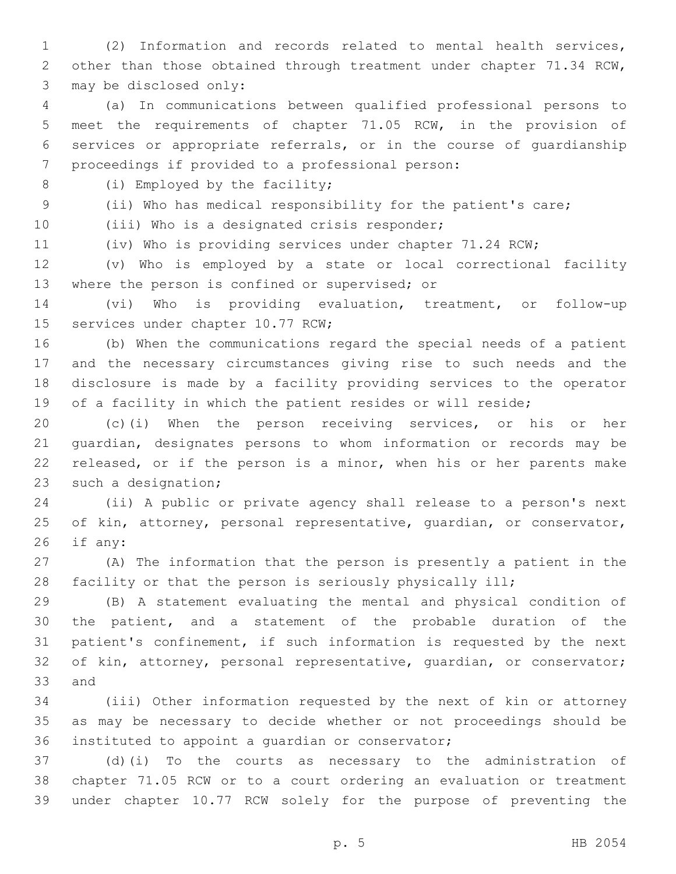(2) Information and records related to mental health services, other than those obtained through treatment under chapter 71.34 RCW, 3 may be disclosed only:

 (a) In communications between qualified professional persons to meet the requirements of chapter 71.05 RCW, in the provision of services or appropriate referrals, or in the course of guardianship 7 proceedings if provided to a professional person:

8 (i) Employed by the facility;

 (ii) Who has medical responsibility for the patient's care; 10 (iii) Who is a designated crisis responder;

(iv) Who is providing services under chapter 71.24 RCW;

 (v) Who is employed by a state or local correctional facility 13 where the person is confined or supervised; or

 (vi) Who is providing evaluation, treatment, or follow-up 15 services under chapter 10.77 RCW;

 (b) When the communications regard the special needs of a patient and the necessary circumstances giving rise to such needs and the disclosure is made by a facility providing services to the operator of a facility in which the patient resides or will reside;

 (c)(i) When the person receiving services, or his or her guardian, designates persons to whom information or records may be released, or if the person is a minor, when his or her parents make 23 such a designation;

 (ii) A public or private agency shall release to a person's next of kin, attorney, personal representative, guardian, or conservator, if any:

 (A) The information that the person is presently a patient in the facility or that the person is seriously physically ill;

 (B) A statement evaluating the mental and physical condition of the patient, and a statement of the probable duration of the patient's confinement, if such information is requested by the next 32 of kin, attorney, personal representative, quardian, or conservator; 33 and

 (iii) Other information requested by the next of kin or attorney as may be necessary to decide whether or not proceedings should be 36 instituted to appoint a quardian or conservator;

 (d)(i) To the courts as necessary to the administration of chapter 71.05 RCW or to a court ordering an evaluation or treatment under chapter 10.77 RCW solely for the purpose of preventing the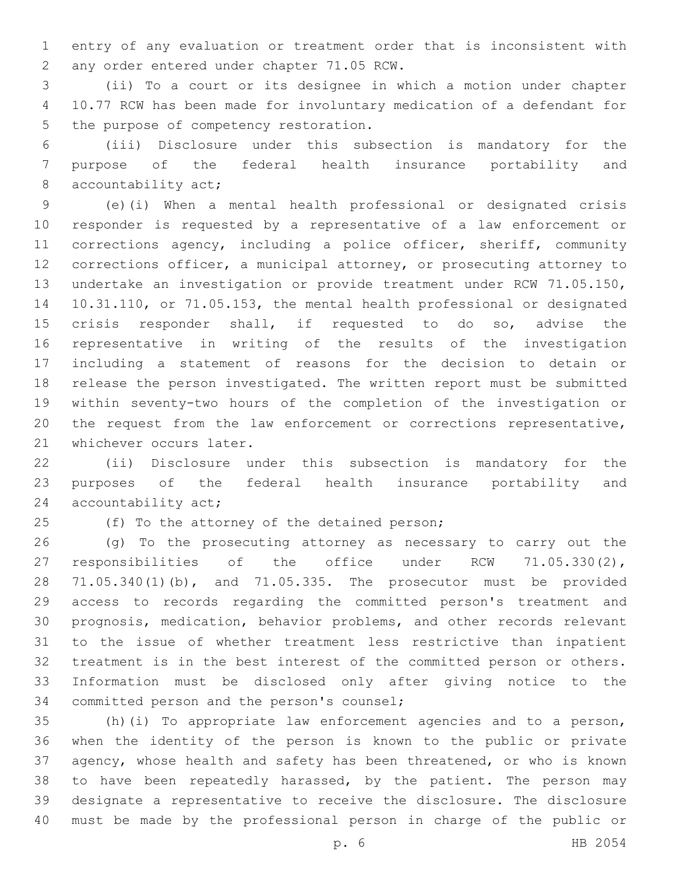entry of any evaluation or treatment order that is inconsistent with 2 any order entered under chapter 71.05 RCW.

 (ii) To a court or its designee in which a motion under chapter 10.77 RCW has been made for involuntary medication of a defendant for 5 the purpose of competency restoration.

 (iii) Disclosure under this subsection is mandatory for the purpose of the federal health insurance portability and 8 accountability act;

 (e)(i) When a mental health professional or designated crisis responder is requested by a representative of a law enforcement or corrections agency, including a police officer, sheriff, community corrections officer, a municipal attorney, or prosecuting attorney to undertake an investigation or provide treatment under RCW 71.05.150, 10.31.110, or 71.05.153, the mental health professional or designated crisis responder shall, if requested to do so, advise the representative in writing of the results of the investigation including a statement of reasons for the decision to detain or release the person investigated. The written report must be submitted within seventy-two hours of the completion of the investigation or the request from the law enforcement or corrections representative, 21 whichever occurs later.

 (ii) Disclosure under this subsection is mandatory for the purposes of the federal health insurance portability and 24 accountability act;

25 (f) To the attorney of the detained person;

 (g) To the prosecuting attorney as necessary to carry out the responsibilities of the office under RCW 71.05.330(2), 71.05.340(1)(b), and 71.05.335. The prosecutor must be provided access to records regarding the committed person's treatment and prognosis, medication, behavior problems, and other records relevant to the issue of whether treatment less restrictive than inpatient treatment is in the best interest of the committed person or others. Information must be disclosed only after giving notice to the 34 committed person and the person's counsel;

 (h)(i) To appropriate law enforcement agencies and to a person, when the identity of the person is known to the public or private agency, whose health and safety has been threatened, or who is known 38 to have been repeatedly harassed, by the patient. The person may designate a representative to receive the disclosure. The disclosure must be made by the professional person in charge of the public or

p. 6 HB 2054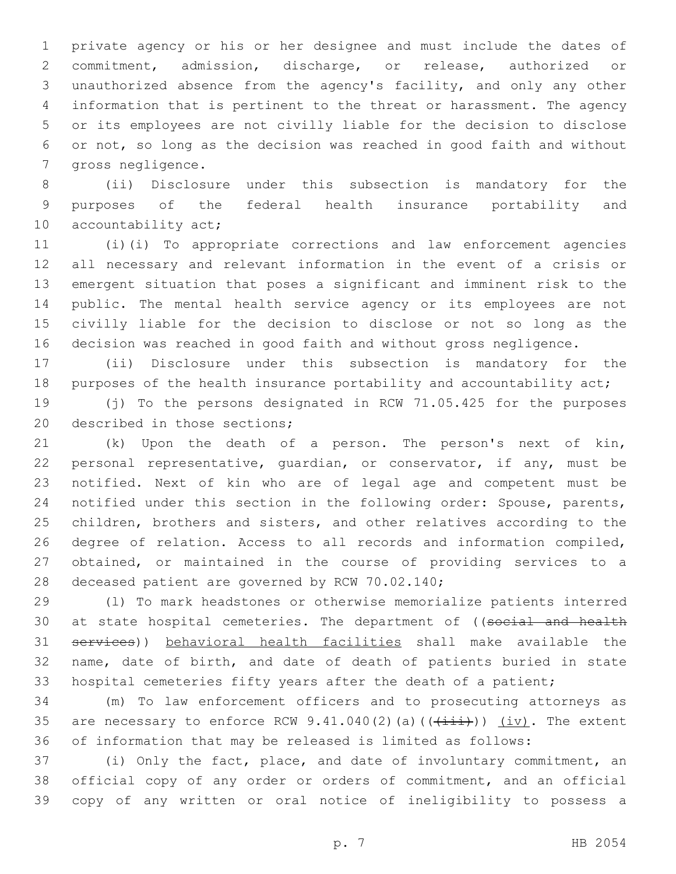private agency or his or her designee and must include the dates of commitment, admission, discharge, or release, authorized or unauthorized absence from the agency's facility, and only any other information that is pertinent to the threat or harassment. The agency or its employees are not civilly liable for the decision to disclose or not, so long as the decision was reached in good faith and without 7 gross negligence.

 (ii) Disclosure under this subsection is mandatory for the purposes of the federal health insurance portability and 10 accountability act;

 (i)(i) To appropriate corrections and law enforcement agencies all necessary and relevant information in the event of a crisis or emergent situation that poses a significant and imminent risk to the public. The mental health service agency or its employees are not civilly liable for the decision to disclose or not so long as the decision was reached in good faith and without gross negligence.

 (ii) Disclosure under this subsection is mandatory for the 18 purposes of the health insurance portability and accountability act;

 (j) To the persons designated in RCW 71.05.425 for the purposes 20 described in those sections;

 (k) Upon the death of a person. The person's next of kin, personal representative, guardian, or conservator, if any, must be notified. Next of kin who are of legal age and competent must be notified under this section in the following order: Spouse, parents, children, brothers and sisters, and other relatives according to the degree of relation. Access to all records and information compiled, obtained, or maintained in the course of providing services to a 28 deceased patient are governed by RCW 70.02.140;

 (l) To mark headstones or otherwise memorialize patients interred 30 at state hospital cemeteries. The department of ((social and health services)) behavioral health facilities shall make available the name, date of birth, and date of death of patients buried in state hospital cemeteries fifty years after the death of a patient;

 (m) To law enforcement officers and to prosecuting attorneys as 35 are necessary to enforce RCW  $9.41.040(2)$  (a) ( $(\frac{1+i+1}{i})$ )  $(iv)$ . The extent of information that may be released is limited as follows:

 (i) Only the fact, place, and date of involuntary commitment, an official copy of any order or orders of commitment, and an official copy of any written or oral notice of ineligibility to possess a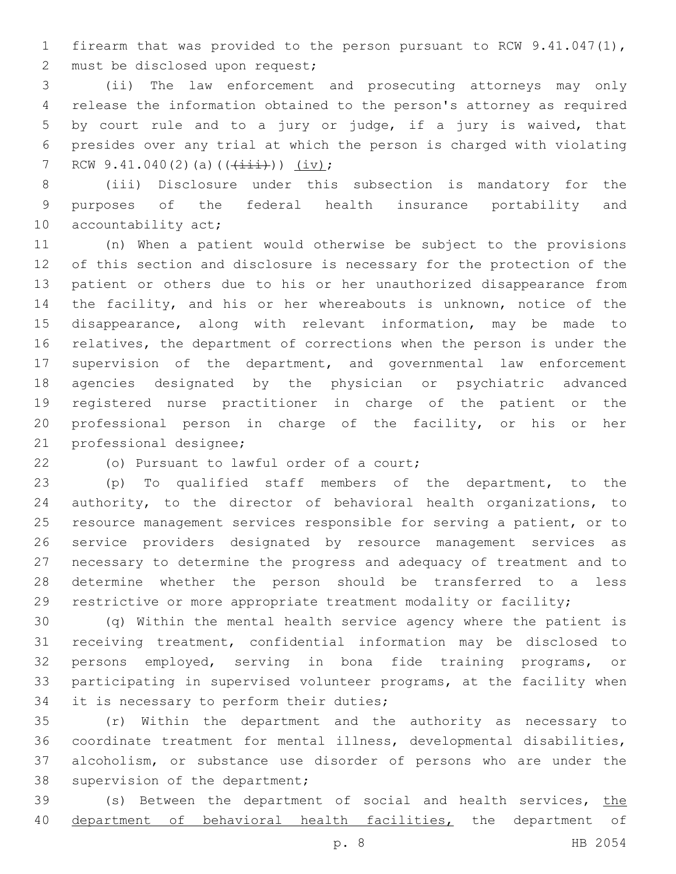firearm that was provided to the person pursuant to RCW 9.41.047(1), 2 must be disclosed upon request;

 (ii) The law enforcement and prosecuting attorneys may only release the information obtained to the person's attorney as required by court rule and to a jury or judge, if a jury is waived, that presides over any trial at which the person is charged with violating 7 RCW  $9.41.040(2)(a)((\overrightarrow{111}))(iv);$ 

 (iii) Disclosure under this subsection is mandatory for the purposes of the federal health insurance portability and 10 accountability act;

 (n) When a patient would otherwise be subject to the provisions of this section and disclosure is necessary for the protection of the patient or others due to his or her unauthorized disappearance from the facility, and his or her whereabouts is unknown, notice of the disappearance, along with relevant information, may be made to relatives, the department of corrections when the person is under the supervision of the department, and governmental law enforcement agencies designated by the physician or psychiatric advanced registered nurse practitioner in charge of the patient or the professional person in charge of the facility, or his or her 21 professional designee;

22 (o) Pursuant to lawful order of a court;

 (p) To qualified staff members of the department, to the authority, to the director of behavioral health organizations, to resource management services responsible for serving a patient, or to service providers designated by resource management services as necessary to determine the progress and adequacy of treatment and to determine whether the person should be transferred to a less restrictive or more appropriate treatment modality or facility;

 (q) Within the mental health service agency where the patient is receiving treatment, confidential information may be disclosed to persons employed, serving in bona fide training programs, or participating in supervised volunteer programs, at the facility when 34 it is necessary to perform their duties;

 (r) Within the department and the authority as necessary to coordinate treatment for mental illness, developmental disabilities, alcoholism, or substance use disorder of persons who are under the 38 supervision of the department;

39 (s) Between the department of social and health services, the 40 department of behavioral health facilities, the department of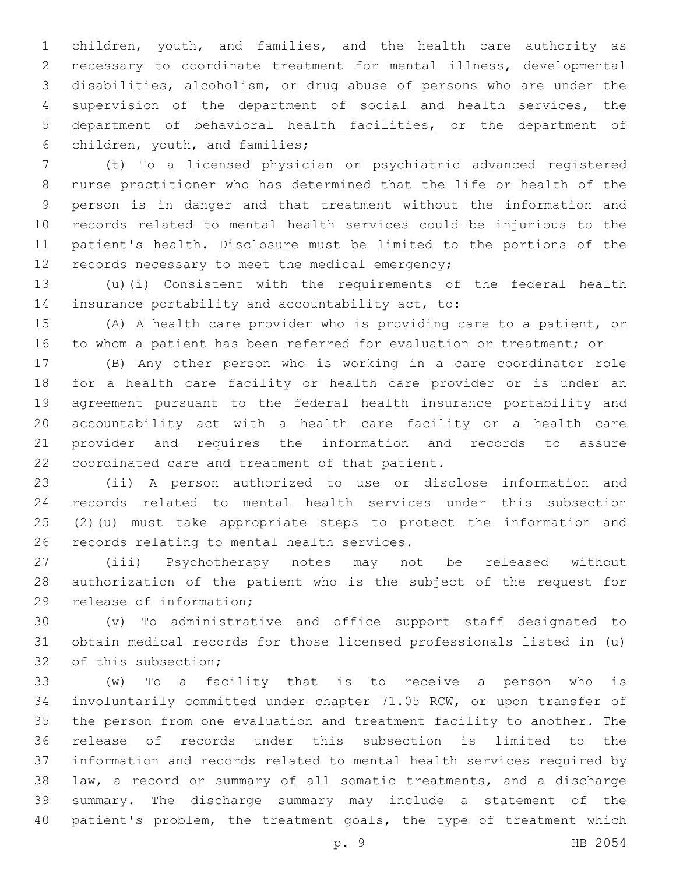children, youth, and families, and the health care authority as necessary to coordinate treatment for mental illness, developmental disabilities, alcoholism, or drug abuse of persons who are under the 4 supervision of the department of social and health services, the department of behavioral health facilities, or the department of 6 children, youth, and families;

 (t) To a licensed physician or psychiatric advanced registered nurse practitioner who has determined that the life or health of the person is in danger and that treatment without the information and records related to mental health services could be injurious to the patient's health. Disclosure must be limited to the portions of the 12 records necessary to meet the medical emergency;

 (u)(i) Consistent with the requirements of the federal health 14 insurance portability and accountability act, to:

 (A) A health care provider who is providing care to a patient, or to whom a patient has been referred for evaluation or treatment; or

 (B) Any other person who is working in a care coordinator role for a health care facility or health care provider or is under an agreement pursuant to the federal health insurance portability and accountability act with a health care facility or a health care provider and requires the information and records to assure 22 coordinated care and treatment of that patient.

 (ii) A person authorized to use or disclose information and records related to mental health services under this subsection (2)(u) must take appropriate steps to protect the information and 26 records relating to mental health services.

 (iii) Psychotherapy notes may not be released without authorization of the patient who is the subject of the request for 29 release of information;

 (v) To administrative and office support staff designated to obtain medical records for those licensed professionals listed in (u) 32 of this subsection;

 (w) To a facility that is to receive a person who is involuntarily committed under chapter 71.05 RCW, or upon transfer of the person from one evaluation and treatment facility to another. The release of records under this subsection is limited to the information and records related to mental health services required by law, a record or summary of all somatic treatments, and a discharge summary. The discharge summary may include a statement of the 40 patient's problem, the treatment goals, the type of treatment which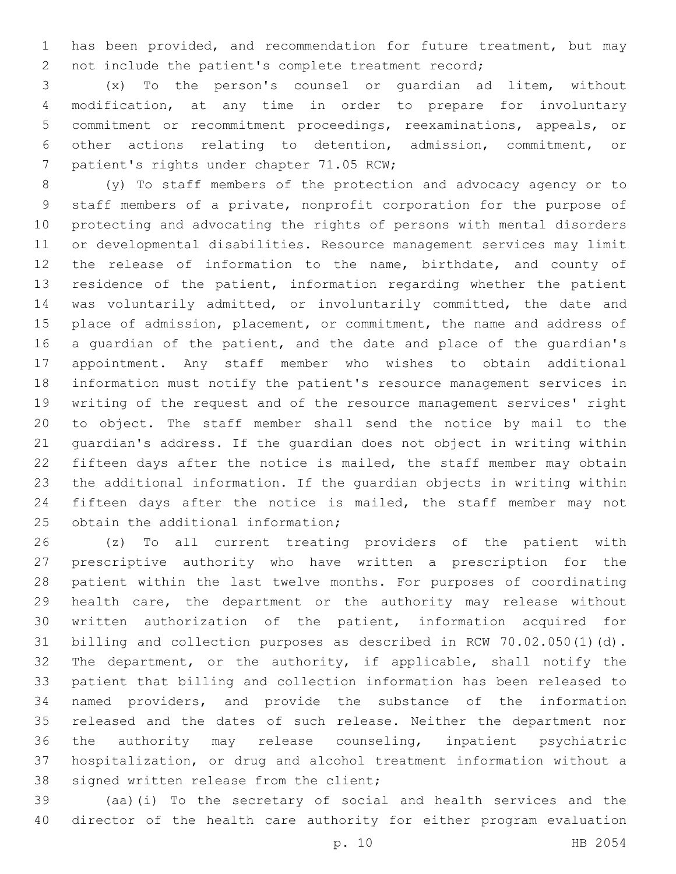has been provided, and recommendation for future treatment, but may not include the patient's complete treatment record;

 (x) To the person's counsel or guardian ad litem, without modification, at any time in order to prepare for involuntary commitment or recommitment proceedings, reexaminations, appeals, or other actions relating to detention, admission, commitment, or 7 patient's rights under chapter 71.05 RCW;

 (y) To staff members of the protection and advocacy agency or to staff members of a private, nonprofit corporation for the purpose of protecting and advocating the rights of persons with mental disorders or developmental disabilities. Resource management services may limit the release of information to the name, birthdate, and county of residence of the patient, information regarding whether the patient was voluntarily admitted, or involuntarily committed, the date and 15 place of admission, placement, or commitment, the name and address of 16 a guardian of the patient, and the date and place of the guardian's appointment. Any staff member who wishes to obtain additional information must notify the patient's resource management services in writing of the request and of the resource management services' right to object. The staff member shall send the notice by mail to the guardian's address. If the guardian does not object in writing within fifteen days after the notice is mailed, the staff member may obtain the additional information. If the guardian objects in writing within fifteen days after the notice is mailed, the staff member may not 25 obtain the additional information;

 (z) To all current treating providers of the patient with prescriptive authority who have written a prescription for the patient within the last twelve months. For purposes of coordinating health care, the department or the authority may release without written authorization of the patient, information acquired for billing and collection purposes as described in RCW 70.02.050(1)(d). The department, or the authority, if applicable, shall notify the patient that billing and collection information has been released to named providers, and provide the substance of the information released and the dates of such release. Neither the department nor the authority may release counseling, inpatient psychiatric hospitalization, or drug and alcohol treatment information without a 38 signed written release from the client;

 (aa)(i) To the secretary of social and health services and the director of the health care authority for either program evaluation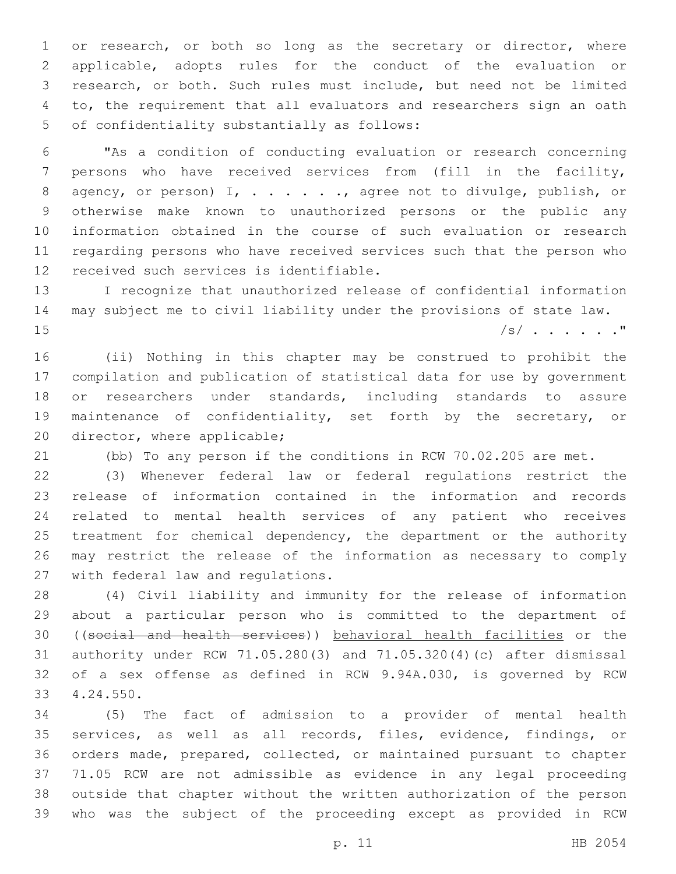1 or research, or both so long as the secretary or director, where applicable, adopts rules for the conduct of the evaluation or research, or both. Such rules must include, but need not be limited to, the requirement that all evaluators and researchers sign an oath 5 of confidentiality substantially as follows:

 "As a condition of conducting evaluation or research concerning persons who have received services from (fill in the facility, 8 agency, or person) I, . . . . . . , agree not to divulge, publish, or otherwise make known to unauthorized persons or the public any information obtained in the course of such evaluation or research regarding persons who have received services such that the person who 12 received such services is identifiable.

 I recognize that unauthorized release of confidential information may subject me to civil liability under the provisions of state law. /s/ . . . . . ."

 (ii) Nothing in this chapter may be construed to prohibit the compilation and publication of statistical data for use by government or researchers under standards, including standards to assure maintenance of confidentiality, set forth by the secretary, or 20 director, where applicable;

(bb) To any person if the conditions in RCW 70.02.205 are met.

 (3) Whenever federal law or federal regulations restrict the release of information contained in the information and records related to mental health services of any patient who receives 25 treatment for chemical dependency, the department or the authority may restrict the release of the information as necessary to comply 27 with federal law and regulations.

 (4) Civil liability and immunity for the release of information about a particular person who is committed to the department of ((social and health services)) behavioral health facilities or the authority under RCW 71.05.280(3) and 71.05.320(4)(c) after dismissal of a sex offense as defined in RCW 9.94A.030, is governed by RCW 4.24.550.33

 (5) The fact of admission to a provider of mental health services, as well as all records, files, evidence, findings, or orders made, prepared, collected, or maintained pursuant to chapter 71.05 RCW are not admissible as evidence in any legal proceeding outside that chapter without the written authorization of the person who was the subject of the proceeding except as provided in RCW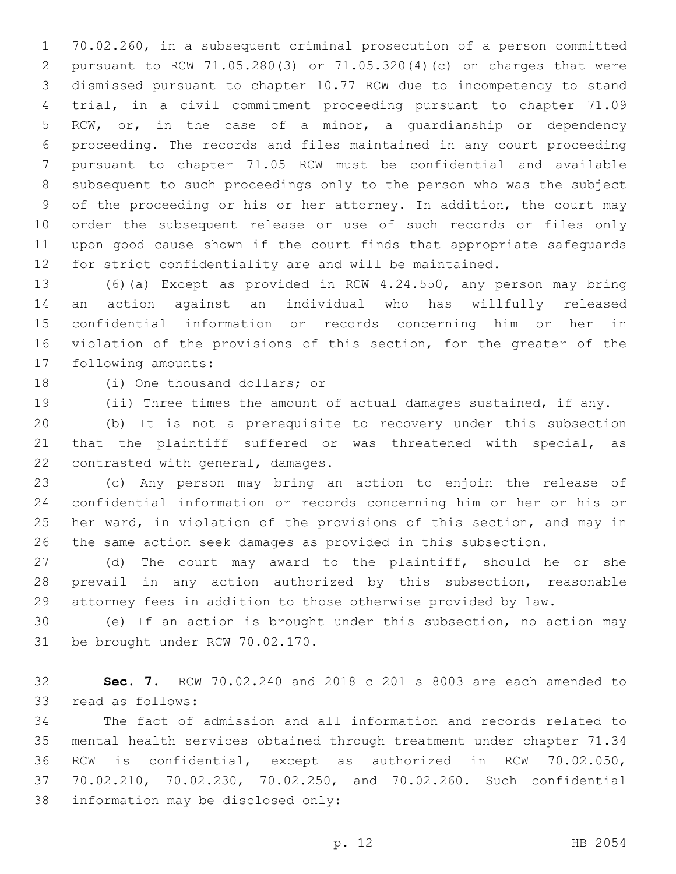70.02.260, in a subsequent criminal prosecution of a person committed pursuant to RCW 71.05.280(3) or 71.05.320(4)(c) on charges that were dismissed pursuant to chapter 10.77 RCW due to incompetency to stand trial, in a civil commitment proceeding pursuant to chapter 71.09 RCW, or, in the case of a minor, a guardianship or dependency proceeding. The records and files maintained in any court proceeding pursuant to chapter 71.05 RCW must be confidential and available subsequent to such proceedings only to the person who was the subject of the proceeding or his or her attorney. In addition, the court may order the subsequent release or use of such records or files only upon good cause shown if the court finds that appropriate safeguards for strict confidentiality are and will be maintained.

 (6)(a) Except as provided in RCW 4.24.550, any person may bring an action against an individual who has willfully released confidential information or records concerning him or her in violation of the provisions of this section, for the greater of the 17 following amounts:

18 (i) One thousand dollars; or

(ii) Three times the amount of actual damages sustained, if any.

 (b) It is not a prerequisite to recovery under this subsection that the plaintiff suffered or was threatened with special, as 22 contrasted with general, damages.

 (c) Any person may bring an action to enjoin the release of confidential information or records concerning him or her or his or her ward, in violation of the provisions of this section, and may in the same action seek damages as provided in this subsection.

 (d) The court may award to the plaintiff, should he or she prevail in any action authorized by this subsection, reasonable attorney fees in addition to those otherwise provided by law.

 (e) If an action is brought under this subsection, no action may 31 be brought under RCW 70.02.170.

 **Sec. 7.** RCW 70.02.240 and 2018 c 201 s 8003 are each amended to 33 read as follows:

 The fact of admission and all information and records related to mental health services obtained through treatment under chapter 71.34 RCW is confidential, except as authorized in RCW 70.02.050, 70.02.210, 70.02.230, 70.02.250, and 70.02.260. Such confidential 38 information may be disclosed only: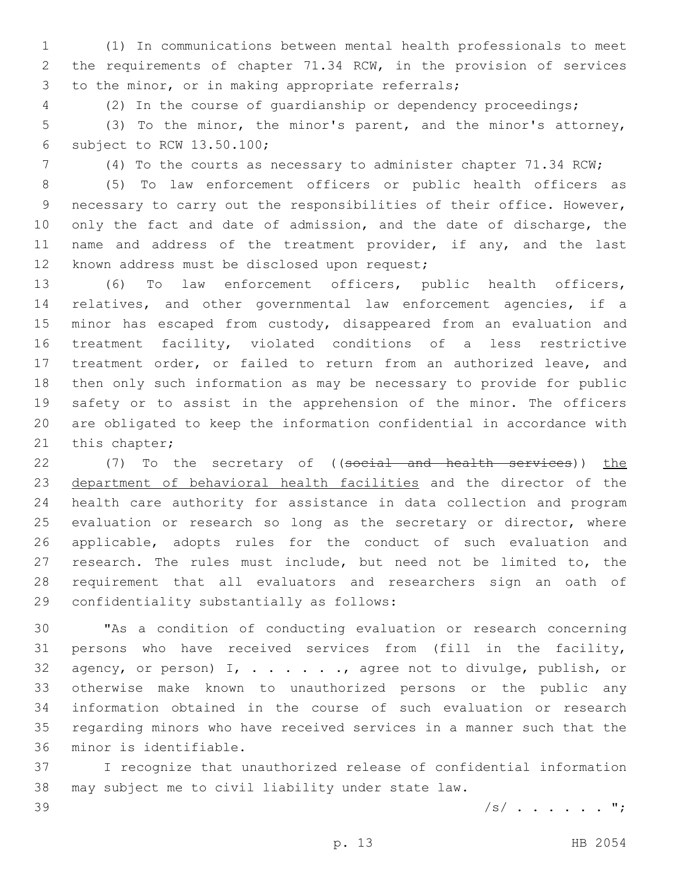(1) In communications between mental health professionals to meet the requirements of chapter 71.34 RCW, in the provision of services 3 to the minor, or in making appropriate referrals;

(2) In the course of guardianship or dependency proceedings;

 (3) To the minor, the minor's parent, and the minor's attorney, 6 subject to RCW  $13.50.100$ ;

(4) To the courts as necessary to administer chapter 71.34 RCW;

 (5) To law enforcement officers or public health officers as necessary to carry out the responsibilities of their office. However, 10 only the fact and date of admission, and the date of discharge, the 11 name and address of the treatment provider, if any, and the last 12 known address must be disclosed upon request;

 (6) To law enforcement officers, public health officers, relatives, and other governmental law enforcement agencies, if a minor has escaped from custody, disappeared from an evaluation and treatment facility, violated conditions of a less restrictive treatment order, or failed to return from an authorized leave, and then only such information as may be necessary to provide for public safety or to assist in the apprehension of the minor. The officers are obligated to keep the information confidential in accordance with 21 this chapter;

22 (7) To the secretary of ((social and health services)) the department of behavioral health facilities and the director of the health care authority for assistance in data collection and program 25 evaluation or research so long as the secretary or director, where applicable, adopts rules for the conduct of such evaluation and research. The rules must include, but need not be limited to, the requirement that all evaluators and researchers sign an oath of 29 confidentiality substantially as follows:

 "As a condition of conducting evaluation or research concerning persons who have received services from (fill in the facility, 32 agency, or person)  $I$ ,  $\ldots$  . . . . , agree not to divulge, publish, or otherwise make known to unauthorized persons or the public any information obtained in the course of such evaluation or research regarding minors who have received services in a manner such that the 36 minor is identifiable.

 I recognize that unauthorized release of confidential information may subject me to civil liability under state law.

/s/ . . . . . . ";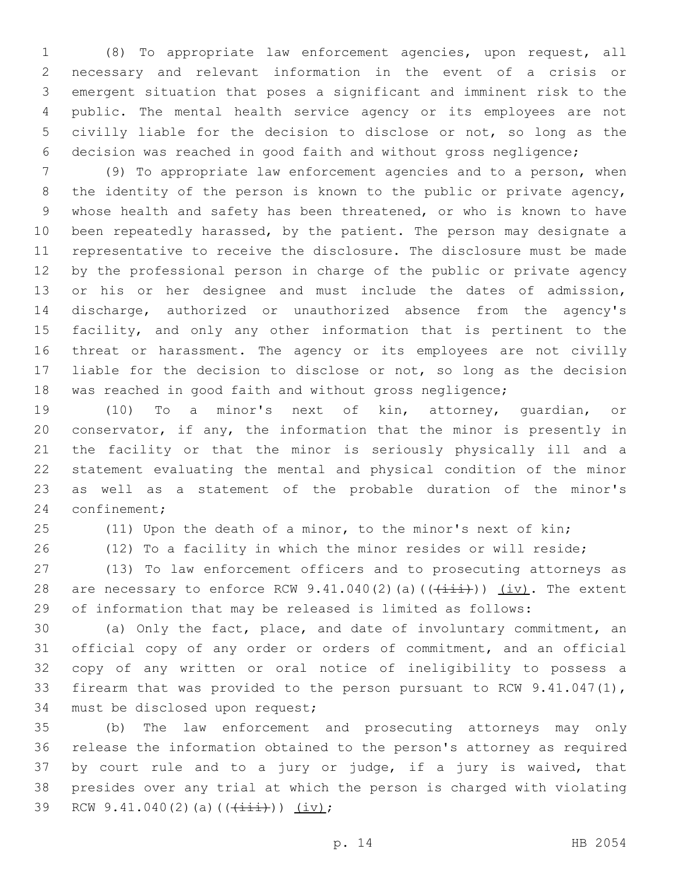(8) To appropriate law enforcement agencies, upon request, all necessary and relevant information in the event of a crisis or emergent situation that poses a significant and imminent risk to the public. The mental health service agency or its employees are not civilly liable for the decision to disclose or not, so long as the decision was reached in good faith and without gross negligence;

 (9) To appropriate law enforcement agencies and to a person, when 8 the identity of the person is known to the public or private agency, whose health and safety has been threatened, or who is known to have been repeatedly harassed, by the patient. The person may designate a representative to receive the disclosure. The disclosure must be made by the professional person in charge of the public or private agency or his or her designee and must include the dates of admission, discharge, authorized or unauthorized absence from the agency's facility, and only any other information that is pertinent to the threat or harassment. The agency or its employees are not civilly 17 liable for the decision to disclose or not, so long as the decision was reached in good faith and without gross negligence;

 (10) To a minor's next of kin, attorney, guardian, or conservator, if any, the information that the minor is presently in the facility or that the minor is seriously physically ill and a statement evaluating the mental and physical condition of the minor as well as a statement of the probable duration of the minor's 24 confinement;

(11) Upon the death of a minor, to the minor's next of kin;

(12) To a facility in which the minor resides or will reside;

 (13) To law enforcement officers and to prosecuting attorneys as 28 are necessary to enforce RCW 9.41.040(2)(a)( $(\frac{+}{+i})$ ) (iv). The extent of information that may be released is limited as follows:

 (a) Only the fact, place, and date of involuntary commitment, an official copy of any order or orders of commitment, and an official copy of any written or oral notice of ineligibility to possess a firearm that was provided to the person pursuant to RCW 9.41.047(1), 34 must be disclosed upon request;

 (b) The law enforcement and prosecuting attorneys may only release the information obtained to the person's attorney as required by court rule and to a jury or judge, if a jury is waived, that presides over any trial at which the person is charged with violating 39 RCW 9.41.040(2)(a)( $(\frac{+}{+i})$ ) (iv);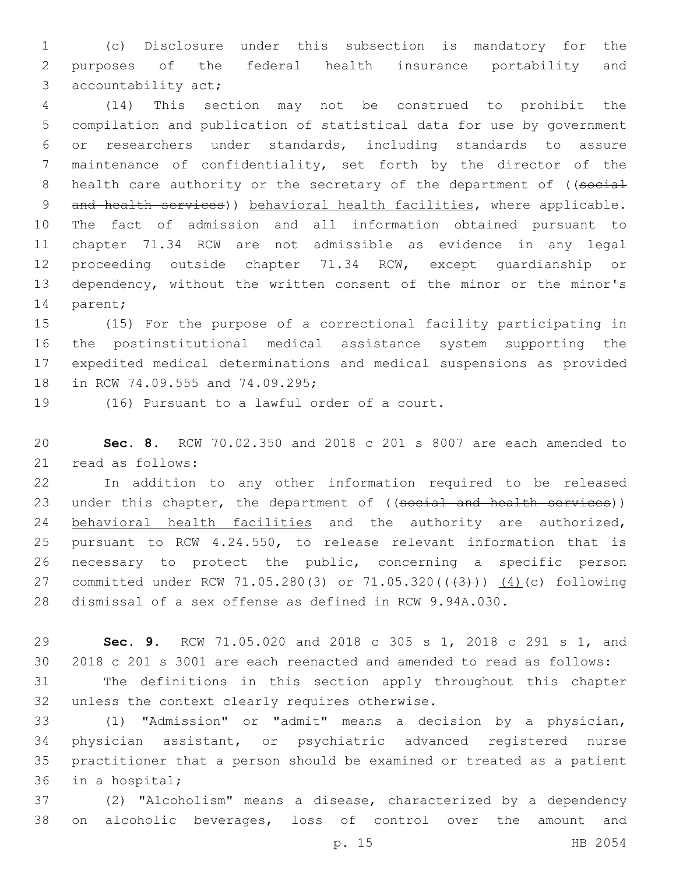(c) Disclosure under this subsection is mandatory for the purposes of the federal health insurance portability and 3 accountability act;

 (14) This section may not be construed to prohibit the compilation and publication of statistical data for use by government or researchers under standards, including standards to assure maintenance of confidentiality, set forth by the director of the 8 health care authority or the secretary of the department of ((social 9 and health services)) behavioral health facilities, where applicable. The fact of admission and all information obtained pursuant to chapter 71.34 RCW are not admissible as evidence in any legal proceeding outside chapter 71.34 RCW, except guardianship or dependency, without the written consent of the minor or the minor's 14 parent;

 (15) For the purpose of a correctional facility participating in the postinstitutional medical assistance system supporting the expedited medical determinations and medical suspensions as provided 18 in RCW 74.09.555 and 74.09.295;

19 (16) Pursuant to a lawful order of a court.

 **Sec. 8.** RCW 70.02.350 and 2018 c 201 s 8007 are each amended to read as follows:21

 In addition to any other information required to be released 23 under this chapter, the department of ((social and health services)) behavioral health facilities and the authority are authorized, pursuant to RCW 4.24.550, to release relevant information that is necessary to protect the public, concerning a specific person 27 committed under RCW 71.05.280(3) or 71.05.320(((43))) (4)(c) following dismissal of a sex offense as defined in RCW 9.94A.030.

 **Sec. 9.** RCW 71.05.020 and 2018 c 305 s 1, 2018 c 291 s 1, and 2018 c 201 s 3001 are each reenacted and amended to read as follows:

 The definitions in this section apply throughout this chapter 32 unless the context clearly requires otherwise.

 (1) "Admission" or "admit" means a decision by a physician, physician assistant, or psychiatric advanced registered nurse practitioner that a person should be examined or treated as a patient 36 in a hospital;

 (2) "Alcoholism" means a disease, characterized by a dependency on alcoholic beverages, loss of control over the amount and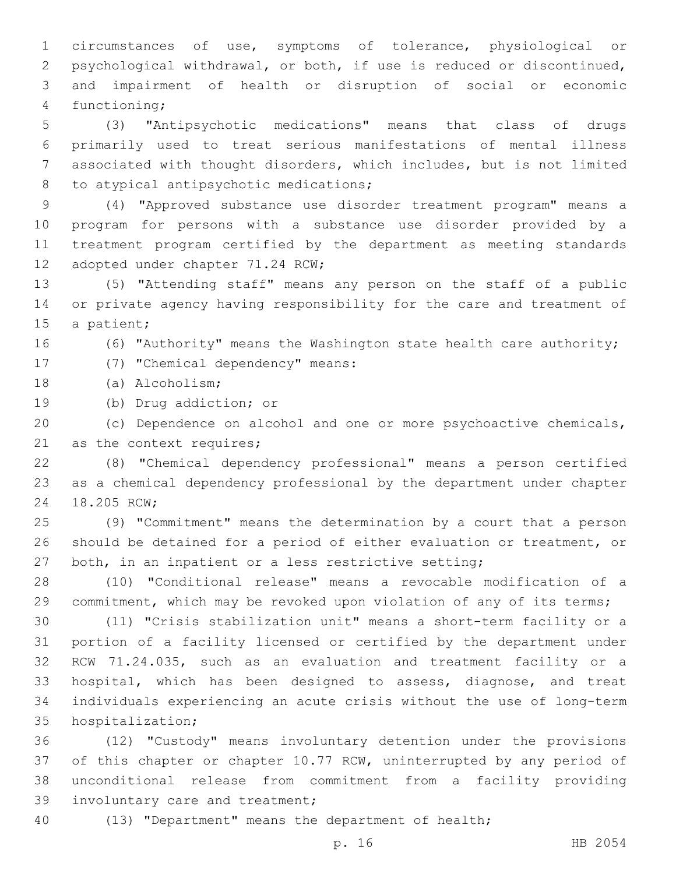circumstances of use, symptoms of tolerance, physiological or psychological withdrawal, or both, if use is reduced or discontinued, and impairment of health or disruption of social or economic 4 functioning;

 (3) "Antipsychotic medications" means that class of drugs primarily used to treat serious manifestations of mental illness associated with thought disorders, which includes, but is not limited 8 to atypical antipsychotic medications;

 (4) "Approved substance use disorder treatment program" means a program for persons with a substance use disorder provided by a treatment program certified by the department as meeting standards 12 adopted under chapter 71.24 RCW;

 (5) "Attending staff" means any person on the staff of a public or private agency having responsibility for the care and treatment of 15 a patient;

(6) "Authority" means the Washington state health care authority;

17 (7) "Chemical dependency" means:

18 (a) Alcoholism;

19 (b) Drug addiction; or

 (c) Dependence on alcohol and one or more psychoactive chemicals, 21 as the context requires;

 (8) "Chemical dependency professional" means a person certified as a chemical dependency professional by the department under chapter 24 18.205 RCW;

 (9) "Commitment" means the determination by a court that a person should be detained for a period of either evaluation or treatment, or both, in an inpatient or a less restrictive setting;

 (10) "Conditional release" means a revocable modification of a 29 commitment, which may be revoked upon violation of any of its terms;

 (11) "Crisis stabilization unit" means a short-term facility or a portion of a facility licensed or certified by the department under RCW 71.24.035, such as an evaluation and treatment facility or a hospital, which has been designed to assess, diagnose, and treat individuals experiencing an acute crisis without the use of long-term 35 hospitalization;

 (12) "Custody" means involuntary detention under the provisions of this chapter or chapter 10.77 RCW, uninterrupted by any period of unconditional release from commitment from a facility providing 39 involuntary care and treatment;

(13) "Department" means the department of health;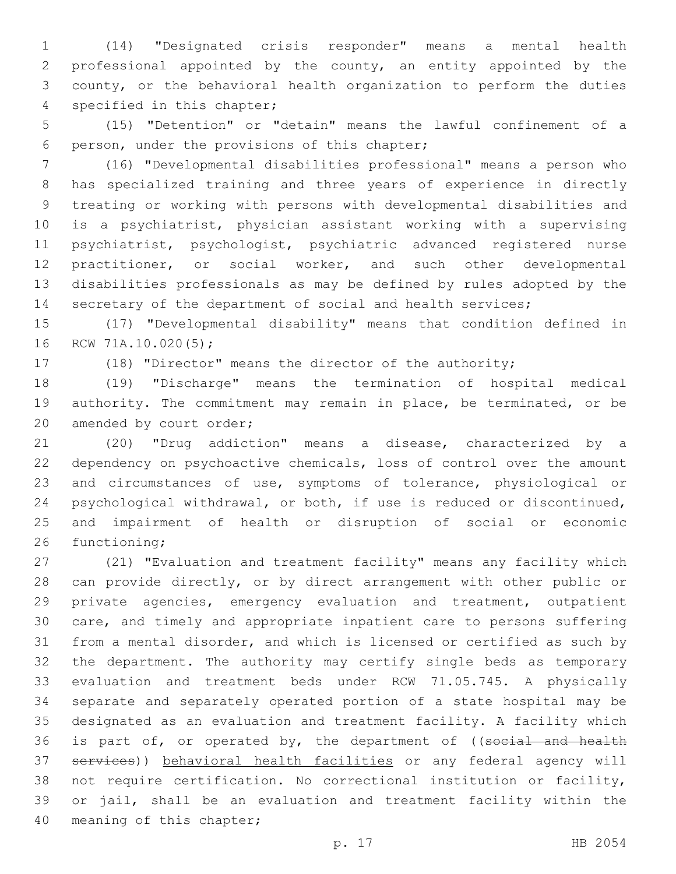(14) "Designated crisis responder" means a mental health professional appointed by the county, an entity appointed by the county, or the behavioral health organization to perform the duties 4 specified in this chapter;

 (15) "Detention" or "detain" means the lawful confinement of a 6 person, under the provisions of this chapter;

 (16) "Developmental disabilities professional" means a person who has specialized training and three years of experience in directly treating or working with persons with developmental disabilities and is a psychiatrist, physician assistant working with a supervising psychiatrist, psychologist, psychiatric advanced registered nurse practitioner, or social worker, and such other developmental disabilities professionals as may be defined by rules adopted by the 14 secretary of the department of social and health services;

 (17) "Developmental disability" means that condition defined in 16 RCW 71A.10.020(5);

(18) "Director" means the director of the authority;

 (19) "Discharge" means the termination of hospital medical authority. The commitment may remain in place, be terminated, or be 20 amended by court order;

 (20) "Drug addiction" means a disease, characterized by a dependency on psychoactive chemicals, loss of control over the amount and circumstances of use, symptoms of tolerance, physiological or psychological withdrawal, or both, if use is reduced or discontinued, and impairment of health or disruption of social or economic 26 functioning;

 (21) "Evaluation and treatment facility" means any facility which can provide directly, or by direct arrangement with other public or private agencies, emergency evaluation and treatment, outpatient care, and timely and appropriate inpatient care to persons suffering from a mental disorder, and which is licensed or certified as such by the department. The authority may certify single beds as temporary evaluation and treatment beds under RCW 71.05.745. A physically separate and separately operated portion of a state hospital may be designated as an evaluation and treatment facility. A facility which 36 is part of, or operated by, the department of ((social and health services)) behavioral health facilities or any federal agency will not require certification. No correctional institution or facility, or jail, shall be an evaluation and treatment facility within the 40 meaning of this chapter;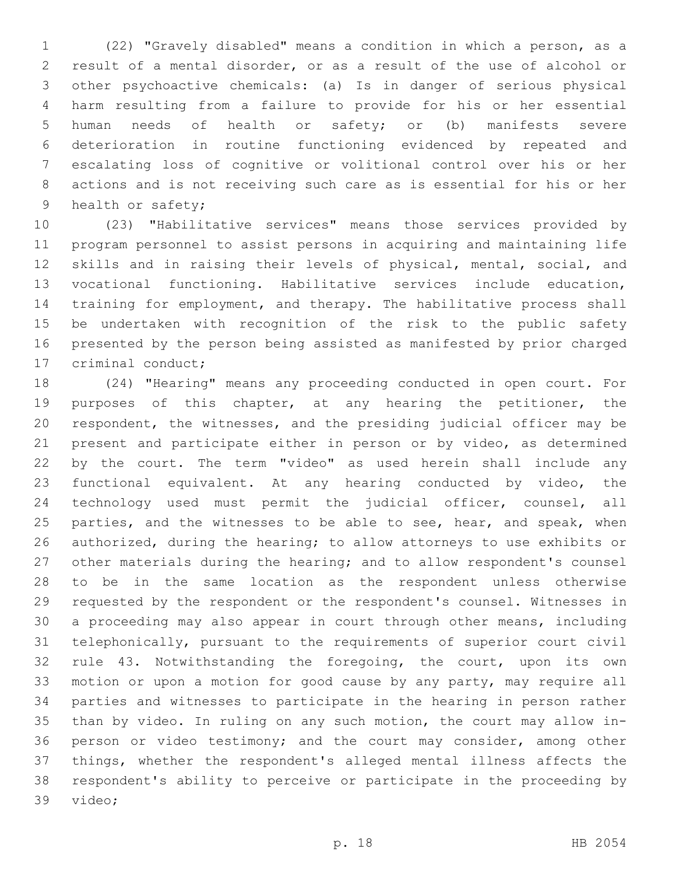(22) "Gravely disabled" means a condition in which a person, as a result of a mental disorder, or as a result of the use of alcohol or other psychoactive chemicals: (a) Is in danger of serious physical harm resulting from a failure to provide for his or her essential human needs of health or safety; or (b) manifests severe deterioration in routine functioning evidenced by repeated and escalating loss of cognitive or volitional control over his or her actions and is not receiving such care as is essential for his or her 9 health or safety;

 (23) "Habilitative services" means those services provided by program personnel to assist persons in acquiring and maintaining life skills and in raising their levels of physical, mental, social, and vocational functioning. Habilitative services include education, training for employment, and therapy. The habilitative process shall be undertaken with recognition of the risk to the public safety presented by the person being assisted as manifested by prior charged 17 criminal conduct;

 (24) "Hearing" means any proceeding conducted in open court. For purposes of this chapter, at any hearing the petitioner, the respondent, the witnesses, and the presiding judicial officer may be present and participate either in person or by video, as determined by the court. The term "video" as used herein shall include any functional equivalent. At any hearing conducted by video, the technology used must permit the judicial officer, counsel, all 25 parties, and the witnesses to be able to see, hear, and speak, when authorized, during the hearing; to allow attorneys to use exhibits or other materials during the hearing; and to allow respondent's counsel to be in the same location as the respondent unless otherwise requested by the respondent or the respondent's counsel. Witnesses in a proceeding may also appear in court through other means, including telephonically, pursuant to the requirements of superior court civil rule 43. Notwithstanding the foregoing, the court, upon its own motion or upon a motion for good cause by any party, may require all parties and witnesses to participate in the hearing in person rather than by video. In ruling on any such motion, the court may allow in- person or video testimony; and the court may consider, among other things, whether the respondent's alleged mental illness affects the respondent's ability to perceive or participate in the proceeding by 39 video;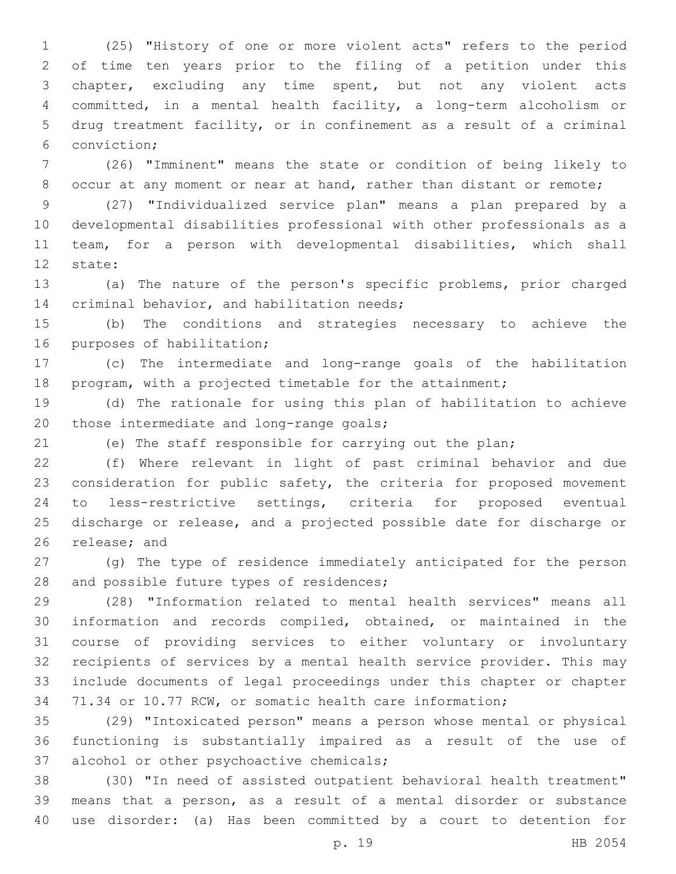(25) "History of one or more violent acts" refers to the period of time ten years prior to the filing of a petition under this chapter, excluding any time spent, but not any violent acts committed, in a mental health facility, a long-term alcoholism or drug treatment facility, or in confinement as a result of a criminal conviction;6

 (26) "Imminent" means the state or condition of being likely to 8 occur at any moment or near at hand, rather than distant or remote;

 (27) "Individualized service plan" means a plan prepared by a developmental disabilities professional with other professionals as a team, for a person with developmental disabilities, which shall 12 state:

 (a) The nature of the person's specific problems, prior charged 14 criminal behavior, and habilitation needs;

 (b) The conditions and strategies necessary to achieve the 16 purposes of habilitation;

 (c) The intermediate and long-range goals of the habilitation program, with a projected timetable for the attainment;

 (d) The rationale for using this plan of habilitation to achieve 20 those intermediate and long-range goals;

(e) The staff responsible for carrying out the plan;

 (f) Where relevant in light of past criminal behavior and due consideration for public safety, the criteria for proposed movement to less-restrictive settings, criteria for proposed eventual discharge or release, and a projected possible date for discharge or 26 release; and

 (g) The type of residence immediately anticipated for the person 28 and possible future types of residences;

 (28) "Information related to mental health services" means all information and records compiled, obtained, or maintained in the course of providing services to either voluntary or involuntary recipients of services by a mental health service provider. This may include documents of legal proceedings under this chapter or chapter 71.34 or 10.77 RCW, or somatic health care information;

 (29) "Intoxicated person" means a person whose mental or physical functioning is substantially impaired as a result of the use of 37 alcohol or other psychoactive chemicals;

 (30) "In need of assisted outpatient behavioral health treatment" means that a person, as a result of a mental disorder or substance use disorder: (a) Has been committed by a court to detention for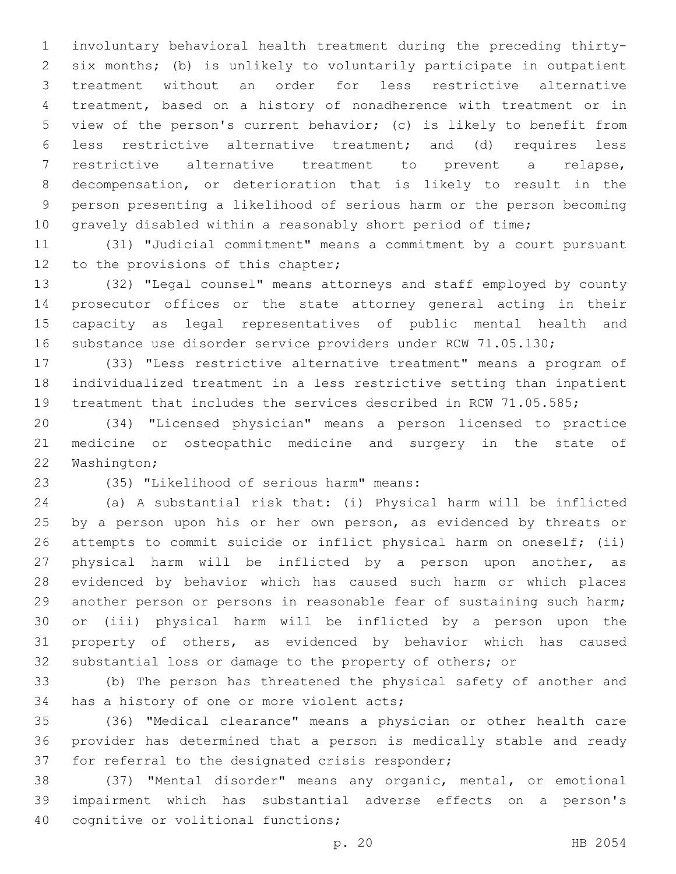involuntary behavioral health treatment during the preceding thirty- six months; (b) is unlikely to voluntarily participate in outpatient treatment without an order for less restrictive alternative treatment, based on a history of nonadherence with treatment or in view of the person's current behavior; (c) is likely to benefit from less restrictive alternative treatment; and (d) requires less restrictive alternative treatment to prevent a relapse, decompensation, or deterioration that is likely to result in the person presenting a likelihood of serious harm or the person becoming 10 gravely disabled within a reasonably short period of time;

 (31) "Judicial commitment" means a commitment by a court pursuant 12 to the provisions of this chapter;

 (32) "Legal counsel" means attorneys and staff employed by county prosecutor offices or the state attorney general acting in their capacity as legal representatives of public mental health and 16 substance use disorder service providers under RCW 71.05.130;

 (33) "Less restrictive alternative treatment" means a program of individualized treatment in a less restrictive setting than inpatient treatment that includes the services described in RCW 71.05.585;

 (34) "Licensed physician" means a person licensed to practice medicine or osteopathic medicine and surgery in the state of 22 Washington;

(35) "Likelihood of serious harm" means:23

 (a) A substantial risk that: (i) Physical harm will be inflicted 25 by a person upon his or her own person, as evidenced by threats or attempts to commit suicide or inflict physical harm on oneself; (ii) physical harm will be inflicted by a person upon another, as evidenced by behavior which has caused such harm or which places another person or persons in reasonable fear of sustaining such harm; or (iii) physical harm will be inflicted by a person upon the property of others, as evidenced by behavior which has caused substantial loss or damage to the property of others; or

 (b) The person has threatened the physical safety of another and 34 has a history of one or more violent acts;

 (36) "Medical clearance" means a physician or other health care provider has determined that a person is medically stable and ready 37 for referral to the designated crisis responder;

 (37) "Mental disorder" means any organic, mental, or emotional impairment which has substantial adverse effects on a person's 40 cognitive or volitional functions;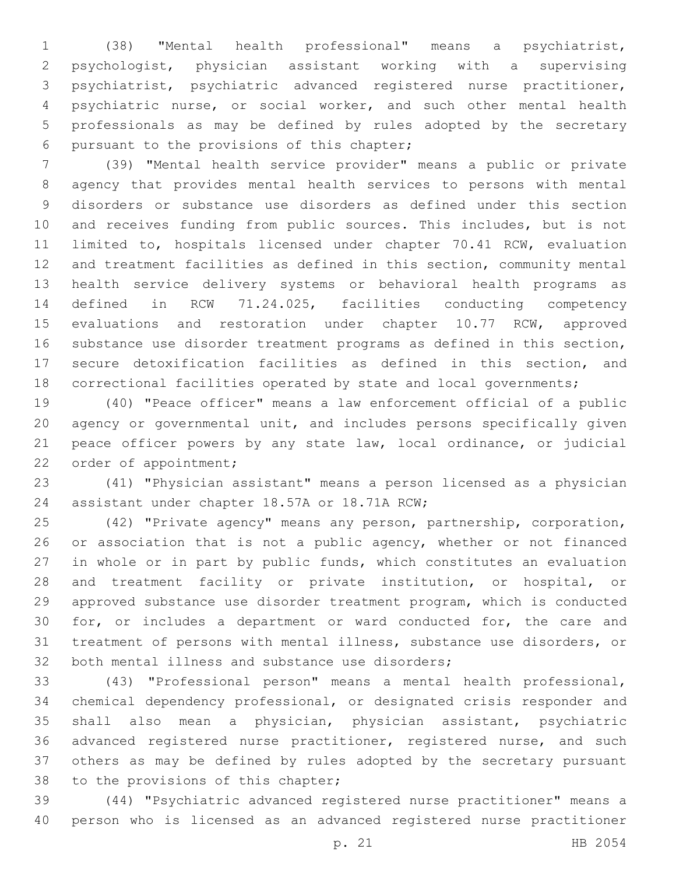(38) "Mental health professional" means a psychiatrist, psychologist, physician assistant working with a supervising psychiatrist, psychiatric advanced registered nurse practitioner, psychiatric nurse, or social worker, and such other mental health professionals as may be defined by rules adopted by the secretary 6 pursuant to the provisions of this chapter;

 (39) "Mental health service provider" means a public or private agency that provides mental health services to persons with mental disorders or substance use disorders as defined under this section and receives funding from public sources. This includes, but is not limited to, hospitals licensed under chapter 70.41 RCW, evaluation and treatment facilities as defined in this section, community mental health service delivery systems or behavioral health programs as defined in RCW 71.24.025, facilities conducting competency 15 evaluations and restoration under chapter 10.77 RCW, approved substance use disorder treatment programs as defined in this section, secure detoxification facilities as defined in this section, and correctional facilities operated by state and local governments;

 (40) "Peace officer" means a law enforcement official of a public agency or governmental unit, and includes persons specifically given peace officer powers by any state law, local ordinance, or judicial 22 order of appointment;

 (41) "Physician assistant" means a person licensed as a physician 24 assistant under chapter 18.57A or 18.71A RCW;

 (42) "Private agency" means any person, partnership, corporation, 26 or association that is not a public agency, whether or not financed in whole or in part by public funds, which constitutes an evaluation and treatment facility or private institution, or hospital, or approved substance use disorder treatment program, which is conducted for, or includes a department or ward conducted for, the care and treatment of persons with mental illness, substance use disorders, or 32 both mental illness and substance use disorders;

 (43) "Professional person" means a mental health professional, chemical dependency professional, or designated crisis responder and shall also mean a physician, physician assistant, psychiatric advanced registered nurse practitioner, registered nurse, and such others as may be defined by rules adopted by the secretary pursuant 38 to the provisions of this chapter;

 (44) "Psychiatric advanced registered nurse practitioner" means a person who is licensed as an advanced registered nurse practitioner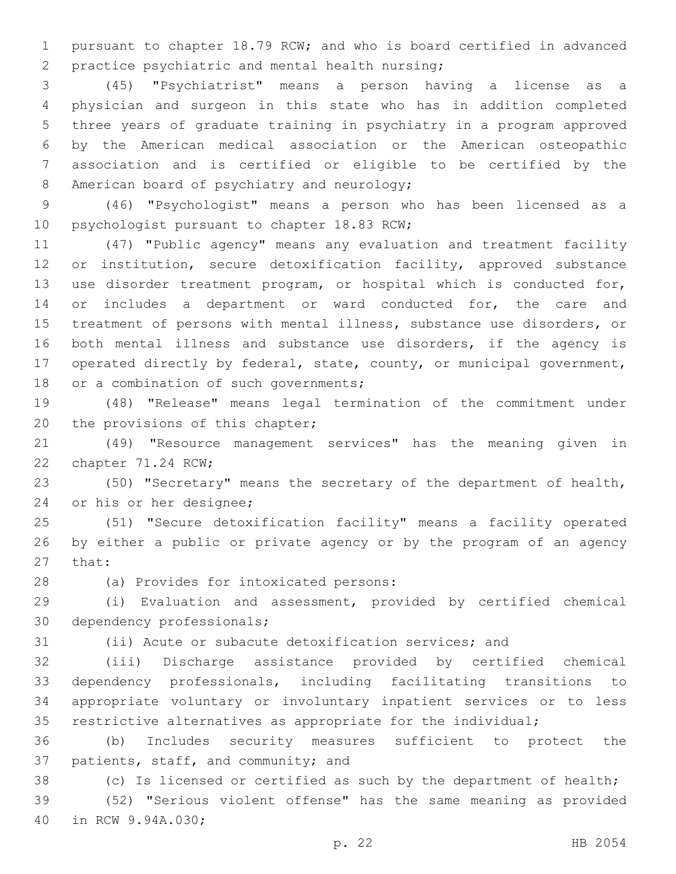pursuant to chapter 18.79 RCW; and who is board certified in advanced 2 practice psychiatric and mental health nursing;

 (45) "Psychiatrist" means a person having a license as a physician and surgeon in this state who has in addition completed three years of graduate training in psychiatry in a program approved by the American medical association or the American osteopathic association and is certified or eligible to be certified by the 8 American board of psychiatry and neurology;

 (46) "Psychologist" means a person who has been licensed as a 10 psychologist pursuant to chapter 18.83 RCW;

 (47) "Public agency" means any evaluation and treatment facility or institution, secure detoxification facility, approved substance use disorder treatment program, or hospital which is conducted for, 14 or includes a department or ward conducted for, the care and treatment of persons with mental illness, substance use disorders, or both mental illness and substance use disorders, if the agency is operated directly by federal, state, county, or municipal government, 18 or a combination of such governments;

 (48) "Release" means legal termination of the commitment under 20 the provisions of this chapter;

 (49) "Resource management services" has the meaning given in 22 chapter 71.24 RCW;

 (50) "Secretary" means the secretary of the department of health, 24 or his or her designee;

 (51) "Secure detoxification facility" means a facility operated by either a public or private agency or by the program of an agency 27 that:

(a) Provides for intoxicated persons:28

 (i) Evaluation and assessment, provided by certified chemical 30 dependency professionals;

(ii) Acute or subacute detoxification services; and

 (iii) Discharge assistance provided by certified chemical dependency professionals, including facilitating transitions to appropriate voluntary or involuntary inpatient services or to less restrictive alternatives as appropriate for the individual;

 (b) Includes security measures sufficient to protect the 37 patients, staff, and community; and

(c) Is licensed or certified as such by the department of health;

 (52) "Serious violent offense" has the same meaning as provided 40 in RCW 9.94A.030;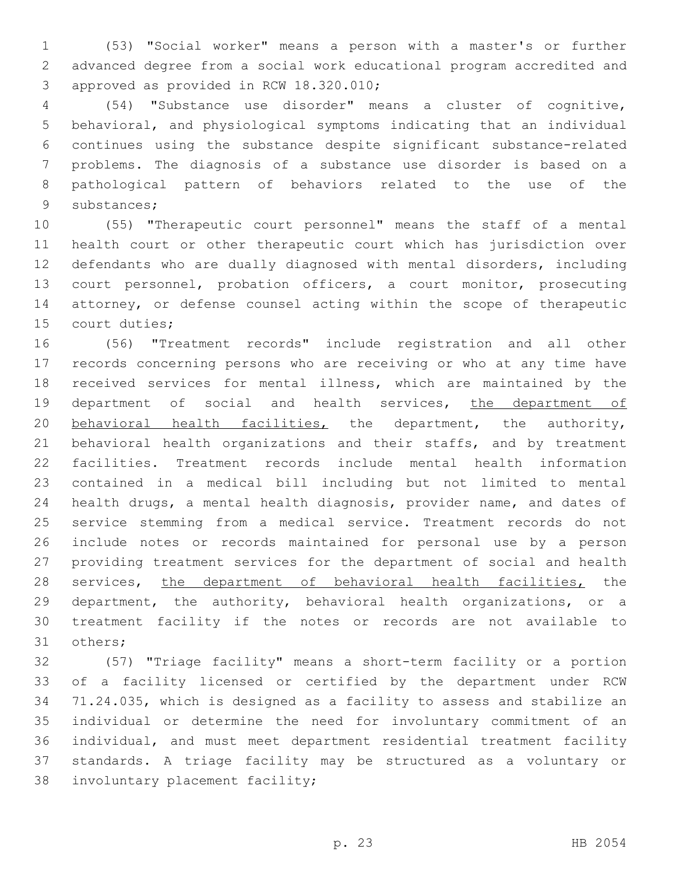(53) "Social worker" means a person with a master's or further advanced degree from a social work educational program accredited and 3 approved as provided in RCW 18.320.010;

 (54) "Substance use disorder" means a cluster of cognitive, behavioral, and physiological symptoms indicating that an individual continues using the substance despite significant substance-related problems. The diagnosis of a substance use disorder is based on a pathological pattern of behaviors related to the use of the 9 substances;

 (55) "Therapeutic court personnel" means the staff of a mental health court or other therapeutic court which has jurisdiction over defendants who are dually diagnosed with mental disorders, including court personnel, probation officers, a court monitor, prosecuting attorney, or defense counsel acting within the scope of therapeutic 15 court duties;

 (56) "Treatment records" include registration and all other records concerning persons who are receiving or who at any time have received services for mental illness, which are maintained by the 19 department of social and health services, the department of behavioral health facilities, the department, the authority, 21 behavioral health organizations and their staffs, and by treatment facilities. Treatment records include mental health information contained in a medical bill including but not limited to mental health drugs, a mental health diagnosis, provider name, and dates of service stemming from a medical service. Treatment records do not include notes or records maintained for personal use by a person providing treatment services for the department of social and health 28 services, the department of behavioral health facilities, the department, the authority, behavioral health organizations, or a treatment facility if the notes or records are not available to 31 others;

 (57) "Triage facility" means a short-term facility or a portion of a facility licensed or certified by the department under RCW 71.24.035, which is designed as a facility to assess and stabilize an individual or determine the need for involuntary commitment of an individual, and must meet department residential treatment facility standards. A triage facility may be structured as a voluntary or 38 involuntary placement facility;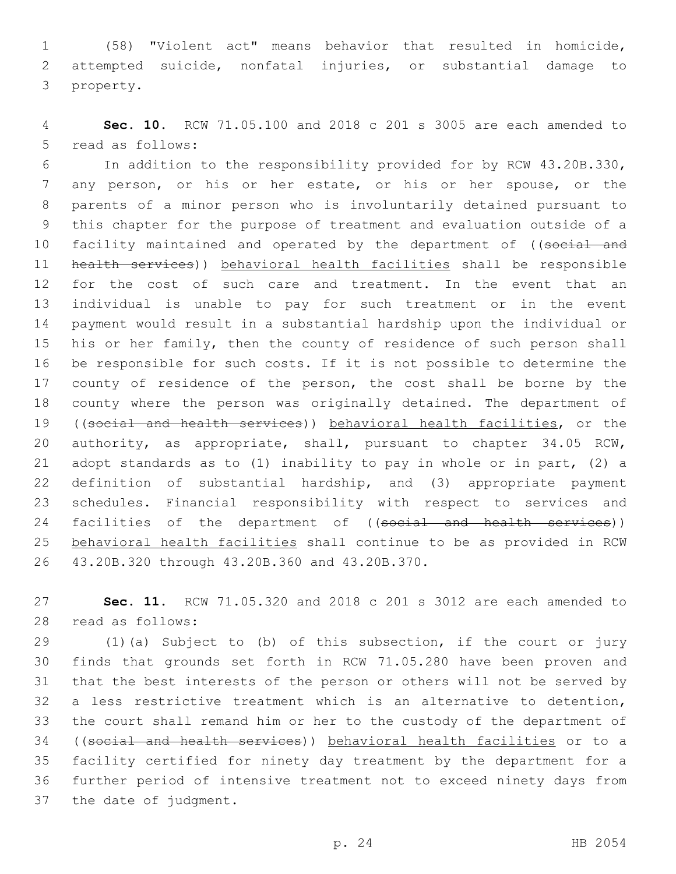(58) "Violent act" means behavior that resulted in homicide, attempted suicide, nonfatal injuries, or substantial damage to 3 property.

 **Sec. 10.** RCW 71.05.100 and 2018 c 201 s 3005 are each amended to 5 read as follows:

 In addition to the responsibility provided for by RCW 43.20B.330, any person, or his or her estate, or his or her spouse, or the parents of a minor person who is involuntarily detained pursuant to this chapter for the purpose of treatment and evaluation outside of a 10 facility maintained and operated by the department of ((social and health services)) behavioral health facilities shall be responsible for the cost of such care and treatment. In the event that an individual is unable to pay for such treatment or in the event payment would result in a substantial hardship upon the individual or his or her family, then the county of residence of such person shall be responsible for such costs. If it is not possible to determine the 17 county of residence of the person, the cost shall be borne by the county where the person was originally detained. The department of ((social and health services)) behavioral health facilities, or the authority, as appropriate, shall, pursuant to chapter 34.05 RCW, adopt standards as to (1) inability to pay in whole or in part, (2) a definition of substantial hardship, and (3) appropriate payment schedules. Financial responsibility with respect to services and 24 facilities of the department of ((social and health services)) behavioral health facilities shall continue to be as provided in RCW 43.20B.320 through 43.20B.360 and 43.20B.370.26

 **Sec. 11.** RCW 71.05.320 and 2018 c 201 s 3012 are each amended to 28 read as follows:

 (1)(a) Subject to (b) of this subsection, if the court or jury finds that grounds set forth in RCW 71.05.280 have been proven and that the best interests of the person or others will not be served by a less restrictive treatment which is an alternative to detention, the court shall remand him or her to the custody of the department of ((social and health services)) behavioral health facilities or to a facility certified for ninety day treatment by the department for a further period of intensive treatment not to exceed ninety days from 37 the date of judgment.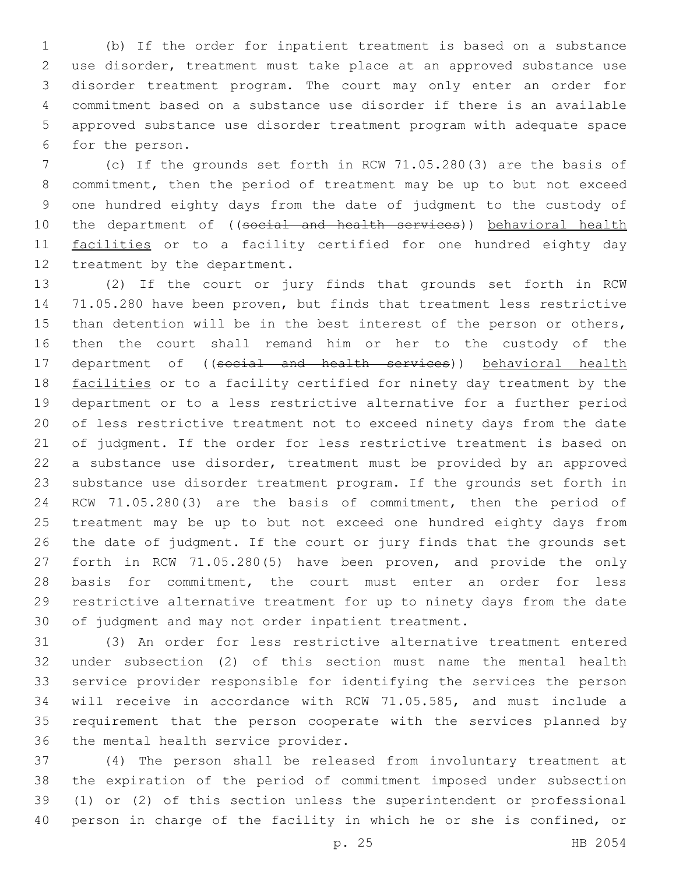(b) If the order for inpatient treatment is based on a substance use disorder, treatment must take place at an approved substance use disorder treatment program. The court may only enter an order for commitment based on a substance use disorder if there is an available approved substance use disorder treatment program with adequate space 6 for the person.

 (c) If the grounds set forth in RCW 71.05.280(3) are the basis of commitment, then the period of treatment may be up to but not exceed one hundred eighty days from the date of judgment to the custody of 10 the department of ((social and health services)) behavioral health 11 facilities or to a facility certified for one hundred eighty day 12 treatment by the department.

 (2) If the court or jury finds that grounds set forth in RCW 71.05.280 have been proven, but finds that treatment less restrictive than detention will be in the best interest of the person or others, then the court shall remand him or her to the custody of the 17 department of ((social and health services)) behavioral health 18 facilities or to a facility certified for ninety day treatment by the department or to a less restrictive alternative for a further period of less restrictive treatment not to exceed ninety days from the date of judgment. If the order for less restrictive treatment is based on a substance use disorder, treatment must be provided by an approved substance use disorder treatment program. If the grounds set forth in RCW 71.05.280(3) are the basis of commitment, then the period of treatment may be up to but not exceed one hundred eighty days from the date of judgment. If the court or jury finds that the grounds set forth in RCW 71.05.280(5) have been proven, and provide the only basis for commitment, the court must enter an order for less restrictive alternative treatment for up to ninety days from the date of judgment and may not order inpatient treatment.

 (3) An order for less restrictive alternative treatment entered under subsection (2) of this section must name the mental health service provider responsible for identifying the services the person will receive in accordance with RCW 71.05.585, and must include a requirement that the person cooperate with the services planned by 36 the mental health service provider.

 (4) The person shall be released from involuntary treatment at the expiration of the period of commitment imposed under subsection (1) or (2) of this section unless the superintendent or professional person in charge of the facility in which he or she is confined, or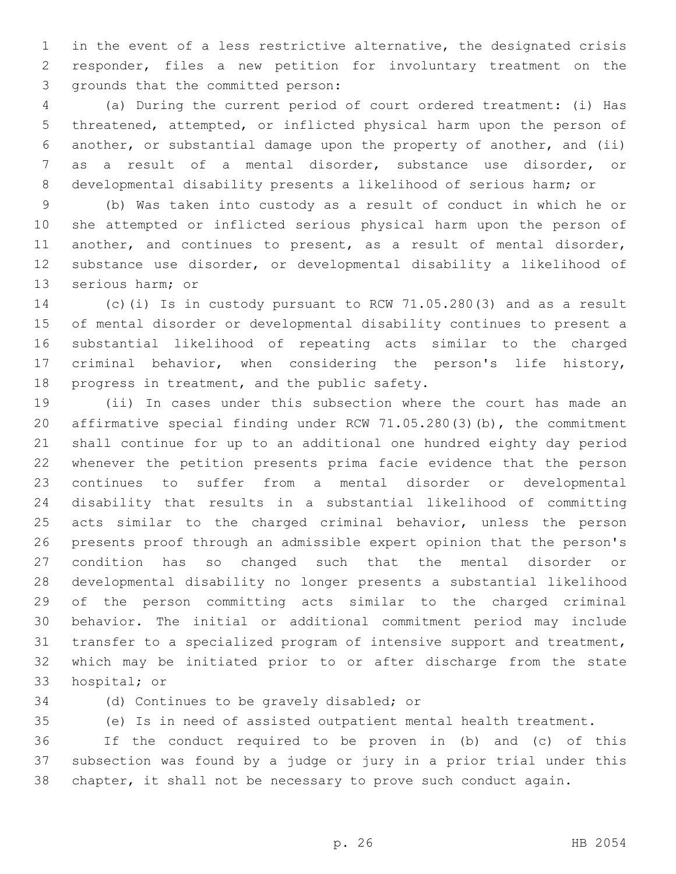in the event of a less restrictive alternative, the designated crisis responder, files a new petition for involuntary treatment on the 3 grounds that the committed person:

 (a) During the current period of court ordered treatment: (i) Has threatened, attempted, or inflicted physical harm upon the person of another, or substantial damage upon the property of another, and (ii) as a result of a mental disorder, substance use disorder, or developmental disability presents a likelihood of serious harm; or

 (b) Was taken into custody as a result of conduct in which he or she attempted or inflicted serious physical harm upon the person of another, and continues to present, as a result of mental disorder, substance use disorder, or developmental disability a likelihood of 13 serious harm; or

 (c)(i) Is in custody pursuant to RCW 71.05.280(3) and as a result of mental disorder or developmental disability continues to present a substantial likelihood of repeating acts similar to the charged criminal behavior, when considering the person's life history, 18 progress in treatment, and the public safety.

 (ii) In cases under this subsection where the court has made an affirmative special finding under RCW 71.05.280(3)(b), the commitment shall continue for up to an additional one hundred eighty day period whenever the petition presents prima facie evidence that the person continues to suffer from a mental disorder or developmental disability that results in a substantial likelihood of committing acts similar to the charged criminal behavior, unless the person presents proof through an admissible expert opinion that the person's condition has so changed such that the mental disorder or developmental disability no longer presents a substantial likelihood of the person committing acts similar to the charged criminal behavior. The initial or additional commitment period may include transfer to a specialized program of intensive support and treatment, which may be initiated prior to or after discharge from the state 33 hospital; or

34 (d) Continues to be gravely disabled; or

(e) Is in need of assisted outpatient mental health treatment.

 If the conduct required to be proven in (b) and (c) of this subsection was found by a judge or jury in a prior trial under this chapter, it shall not be necessary to prove such conduct again.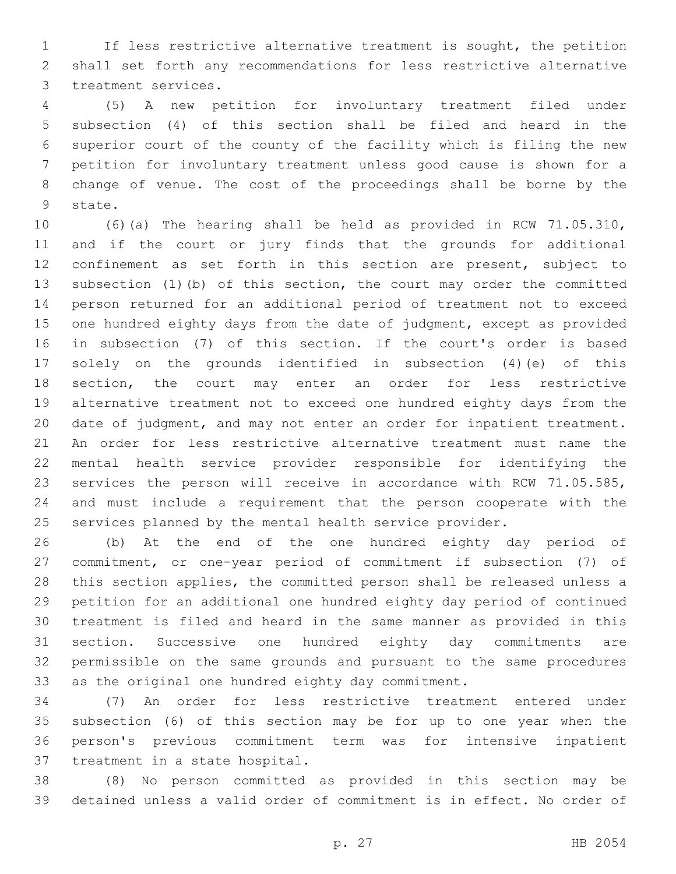If less restrictive alternative treatment is sought, the petition shall set forth any recommendations for less restrictive alternative 3 treatment services.

 (5) A new petition for involuntary treatment filed under subsection (4) of this section shall be filed and heard in the superior court of the county of the facility which is filing the new petition for involuntary treatment unless good cause is shown for a change of venue. The cost of the proceedings shall be borne by the 9 state.

 (6)(a) The hearing shall be held as provided in RCW 71.05.310, and if the court or jury finds that the grounds for additional confinement as set forth in this section are present, subject to subsection (1)(b) of this section, the court may order the committed person returned for an additional period of treatment not to exceed one hundred eighty days from the date of judgment, except as provided in subsection (7) of this section. If the court's order is based solely on the grounds identified in subsection (4)(e) of this section, the court may enter an order for less restrictive alternative treatment not to exceed one hundred eighty days from the date of judgment, and may not enter an order for inpatient treatment. An order for less restrictive alternative treatment must name the mental health service provider responsible for identifying the services the person will receive in accordance with RCW 71.05.585, and must include a requirement that the person cooperate with the services planned by the mental health service provider.

 (b) At the end of the one hundred eighty day period of commitment, or one-year period of commitment if subsection (7) of this section applies, the committed person shall be released unless a petition for an additional one hundred eighty day period of continued treatment is filed and heard in the same manner as provided in this section. Successive one hundred eighty day commitments are permissible on the same grounds and pursuant to the same procedures as the original one hundred eighty day commitment.

 (7) An order for less restrictive treatment entered under subsection (6) of this section may be for up to one year when the person's previous commitment term was for intensive inpatient 37 treatment in a state hospital.

 (8) No person committed as provided in this section may be detained unless a valid order of commitment is in effect. No order of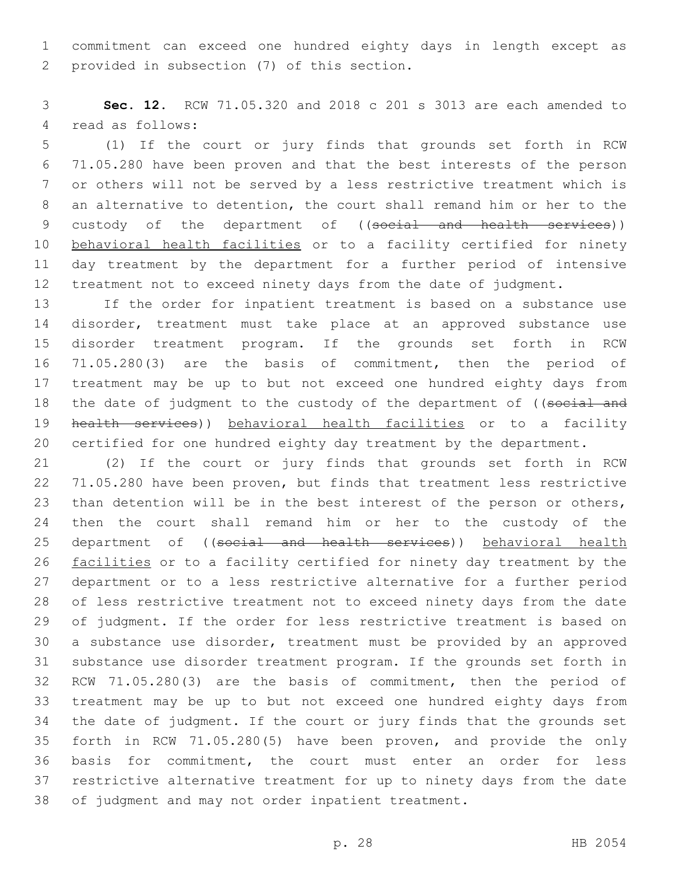commitment can exceed one hundred eighty days in length except as 2 provided in subsection (7) of this section.

 **Sec. 12.** RCW 71.05.320 and 2018 c 201 s 3013 are each amended to 4 read as follows:

 (1) If the court or jury finds that grounds set forth in RCW 71.05.280 have been proven and that the best interests of the person or others will not be served by a less restrictive treatment which is an alternative to detention, the court shall remand him or her to the 9 custody of the department of ((social and health services)) behavioral health facilities or to a facility certified for ninety day treatment by the department for a further period of intensive treatment not to exceed ninety days from the date of judgment.

 If the order for inpatient treatment is based on a substance use disorder, treatment must take place at an approved substance use disorder treatment program. If the grounds set forth in RCW 71.05.280(3) are the basis of commitment, then the period of treatment may be up to but not exceed one hundred eighty days from 18 the date of judgment to the custody of the department of ((social and 19 health services)) behavioral health facilities or to a facility certified for one hundred eighty day treatment by the department.

 (2) If the court or jury finds that grounds set forth in RCW 71.05.280 have been proven, but finds that treatment less restrictive than detention will be in the best interest of the person or others, then the court shall remand him or her to the custody of the 25 department of ((social and health services)) behavioral health 26 facilities or to a facility certified for ninety day treatment by the department or to a less restrictive alternative for a further period of less restrictive treatment not to exceed ninety days from the date of judgment. If the order for less restrictive treatment is based on a substance use disorder, treatment must be provided by an approved substance use disorder treatment program. If the grounds set forth in RCW 71.05.280(3) are the basis of commitment, then the period of treatment may be up to but not exceed one hundred eighty days from the date of judgment. If the court or jury finds that the grounds set forth in RCW 71.05.280(5) have been proven, and provide the only basis for commitment, the court must enter an order for less restrictive alternative treatment for up to ninety days from the date of judgment and may not order inpatient treatment.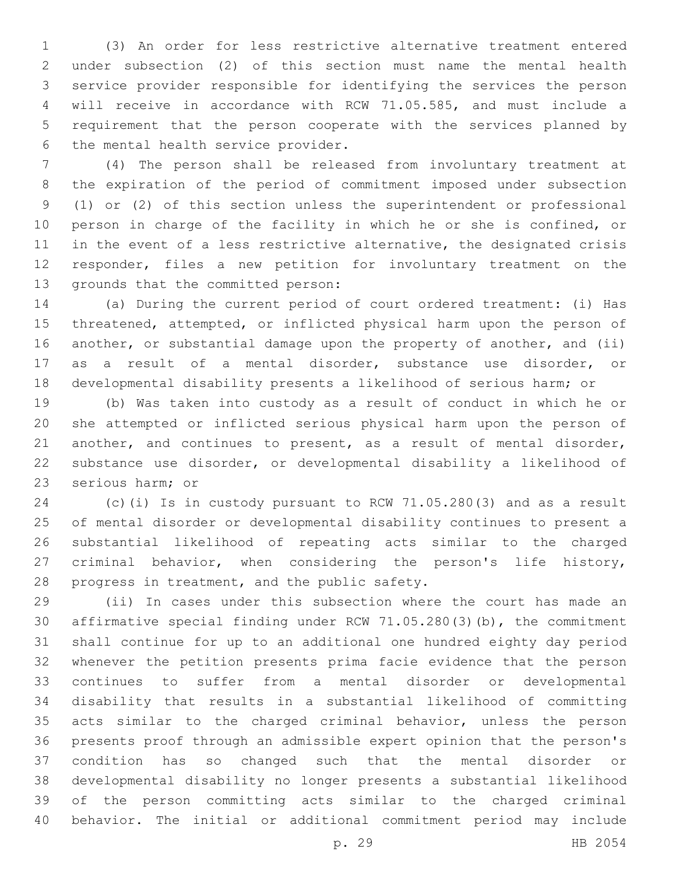(3) An order for less restrictive alternative treatment entered under subsection (2) of this section must name the mental health service provider responsible for identifying the services the person will receive in accordance with RCW 71.05.585, and must include a requirement that the person cooperate with the services planned by 6 the mental health service provider.

 (4) The person shall be released from involuntary treatment at the expiration of the period of commitment imposed under subsection (1) or (2) of this section unless the superintendent or professional person in charge of the facility in which he or she is confined, or in the event of a less restrictive alternative, the designated crisis responder, files a new petition for involuntary treatment on the 13 grounds that the committed person:

 (a) During the current period of court ordered treatment: (i) Has threatened, attempted, or inflicted physical harm upon the person of another, or substantial damage upon the property of another, and (ii) as a result of a mental disorder, substance use disorder, or developmental disability presents a likelihood of serious harm; or

 (b) Was taken into custody as a result of conduct in which he or she attempted or inflicted serious physical harm upon the person of another, and continues to present, as a result of mental disorder, substance use disorder, or developmental disability a likelihood of 23 serious harm; or

 (c)(i) Is in custody pursuant to RCW 71.05.280(3) and as a result of mental disorder or developmental disability continues to present a substantial likelihood of repeating acts similar to the charged criminal behavior, when considering the person's life history, 28 progress in treatment, and the public safety.

 (ii) In cases under this subsection where the court has made an affirmative special finding under RCW 71.05.280(3)(b), the commitment shall continue for up to an additional one hundred eighty day period whenever the petition presents prima facie evidence that the person continues to suffer from a mental disorder or developmental disability that results in a substantial likelihood of committing acts similar to the charged criminal behavior, unless the person presents proof through an admissible expert opinion that the person's condition has so changed such that the mental disorder or developmental disability no longer presents a substantial likelihood of the person committing acts similar to the charged criminal behavior. The initial or additional commitment period may include

p. 29 HB 2054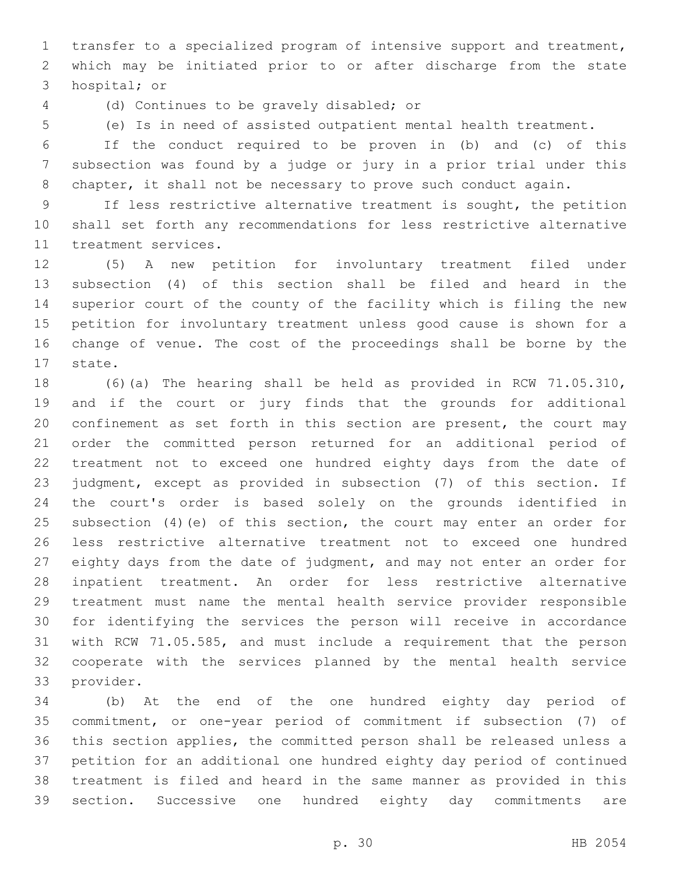transfer to a specialized program of intensive support and treatment, which may be initiated prior to or after discharge from the state 3 hospital; or

(d) Continues to be gravely disabled; or4

(e) Is in need of assisted outpatient mental health treatment.

 If the conduct required to be proven in (b) and (c) of this subsection was found by a judge or jury in a prior trial under this 8 chapter, it shall not be necessary to prove such conduct again.

 If less restrictive alternative treatment is sought, the petition shall set forth any recommendations for less restrictive alternative 11 treatment services.

 (5) A new petition for involuntary treatment filed under subsection (4) of this section shall be filed and heard in the superior court of the county of the facility which is filing the new petition for involuntary treatment unless good cause is shown for a change of venue. The cost of the proceedings shall be borne by the 17 state.

 (6)(a) The hearing shall be held as provided in RCW 71.05.310, and if the court or jury finds that the grounds for additional confinement as set forth in this section are present, the court may order the committed person returned for an additional period of treatment not to exceed one hundred eighty days from the date of judgment, except as provided in subsection (7) of this section. If the court's order is based solely on the grounds identified in subsection (4)(e) of this section, the court may enter an order for less restrictive alternative treatment not to exceed one hundred eighty days from the date of judgment, and may not enter an order for inpatient treatment. An order for less restrictive alternative treatment must name the mental health service provider responsible for identifying the services the person will receive in accordance with RCW 71.05.585, and must include a requirement that the person cooperate with the services planned by the mental health service 33 provider.

 (b) At the end of the one hundred eighty day period of commitment, or one-year period of commitment if subsection (7) of this section applies, the committed person shall be released unless a petition for an additional one hundred eighty day period of continued treatment is filed and heard in the same manner as provided in this section. Successive one hundred eighty day commitments are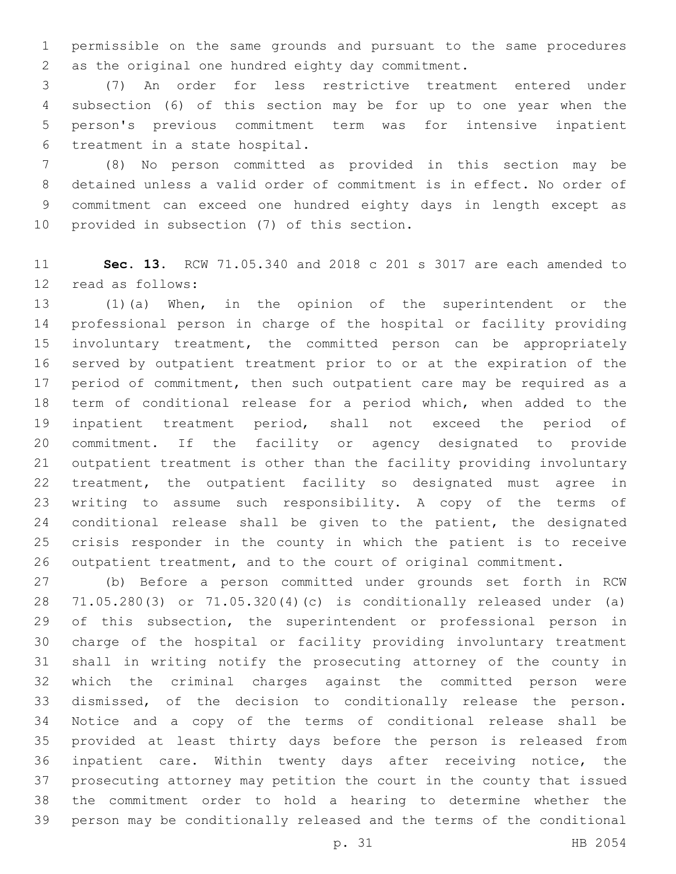permissible on the same grounds and pursuant to the same procedures 2 as the original one hundred eighty day commitment.

 (7) An order for less restrictive treatment entered under subsection (6) of this section may be for up to one year when the person's previous commitment term was for intensive inpatient 6 treatment in a state hospital.

 (8) No person committed as provided in this section may be detained unless a valid order of commitment is in effect. No order of commitment can exceed one hundred eighty days in length except as 10 provided in subsection (7) of this section.

 **Sec. 13.** RCW 71.05.340 and 2018 c 201 s 3017 are each amended to 12 read as follows:

 (1)(a) When, in the opinion of the superintendent or the professional person in charge of the hospital or facility providing involuntary treatment, the committed person can be appropriately served by outpatient treatment prior to or at the expiration of the 17 period of commitment, then such outpatient care may be required as a term of conditional release for a period which, when added to the inpatient treatment period, shall not exceed the period of commitment. If the facility or agency designated to provide outpatient treatment is other than the facility providing involuntary treatment, the outpatient facility so designated must agree in writing to assume such responsibility. A copy of the terms of conditional release shall be given to the patient, the designated crisis responder in the county in which the patient is to receive outpatient treatment, and to the court of original commitment.

 (b) Before a person committed under grounds set forth in RCW 71.05.280(3) or 71.05.320(4)(c) is conditionally released under (a) 29 of this subsection, the superintendent or professional person in charge of the hospital or facility providing involuntary treatment shall in writing notify the prosecuting attorney of the county in which the criminal charges against the committed person were dismissed, of the decision to conditionally release the person. Notice and a copy of the terms of conditional release shall be provided at least thirty days before the person is released from inpatient care. Within twenty days after receiving notice, the prosecuting attorney may petition the court in the county that issued the commitment order to hold a hearing to determine whether the person may be conditionally released and the terms of the conditional

p. 31 HB 2054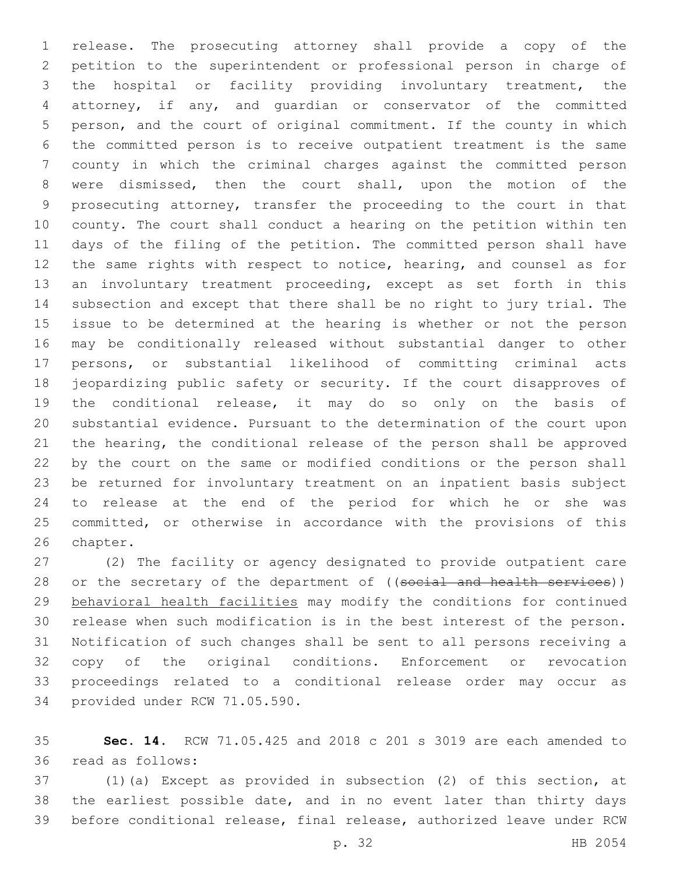release. The prosecuting attorney shall provide a copy of the petition to the superintendent or professional person in charge of the hospital or facility providing involuntary treatment, the attorney, if any, and guardian or conservator of the committed person, and the court of original commitment. If the county in which the committed person is to receive outpatient treatment is the same county in which the criminal charges against the committed person were dismissed, then the court shall, upon the motion of the prosecuting attorney, transfer the proceeding to the court in that county. The court shall conduct a hearing on the petition within ten days of the filing of the petition. The committed person shall have the same rights with respect to notice, hearing, and counsel as for an involuntary treatment proceeding, except as set forth in this subsection and except that there shall be no right to jury trial. The issue to be determined at the hearing is whether or not the person may be conditionally released without substantial danger to other persons, or substantial likelihood of committing criminal acts jeopardizing public safety or security. If the court disapproves of the conditional release, it may do so only on the basis of substantial evidence. Pursuant to the determination of the court upon the hearing, the conditional release of the person shall be approved by the court on the same or modified conditions or the person shall be returned for involuntary treatment on an inpatient basis subject to release at the end of the period for which he or she was committed, or otherwise in accordance with the provisions of this 26 chapter.

 (2) The facility or agency designated to provide outpatient care 28 or the secretary of the department of ((social and health services)) behavioral health facilities may modify the conditions for continued release when such modification is in the best interest of the person. Notification of such changes shall be sent to all persons receiving a copy of the original conditions. Enforcement or revocation proceedings related to a conditional release order may occur as 34 provided under RCW 71.05.590.

 **Sec. 14.** RCW 71.05.425 and 2018 c 201 s 3019 are each amended to read as follows:36

 (1)(a) Except as provided in subsection (2) of this section, at the earliest possible date, and in no event later than thirty days before conditional release, final release, authorized leave under RCW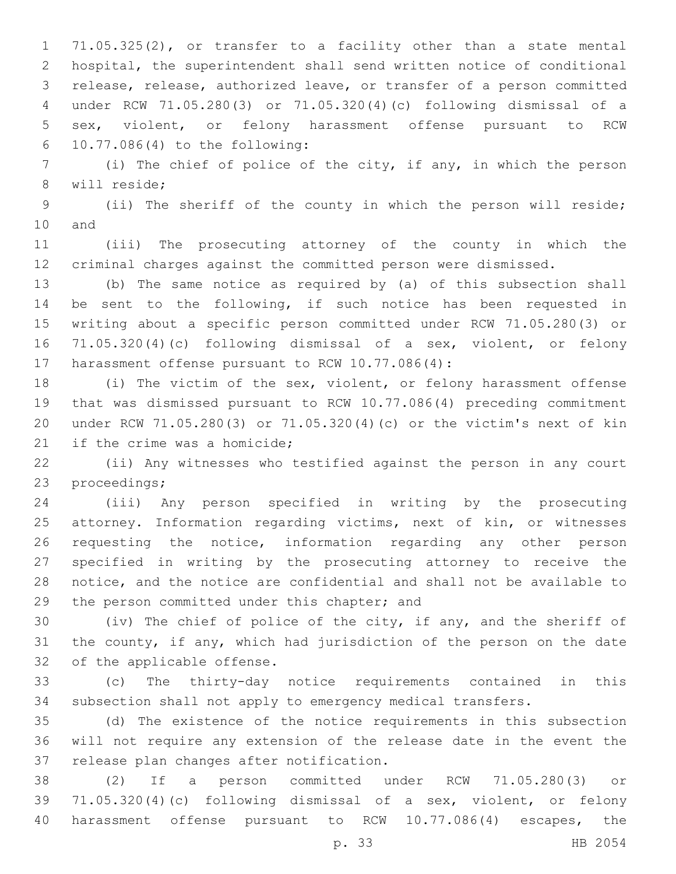71.05.325(2), or transfer to a facility other than a state mental hospital, the superintendent shall send written notice of conditional release, release, authorized leave, or transfer of a person committed under RCW 71.05.280(3) or 71.05.320(4)(c) following dismissal of a sex, violent, or felony harassment offense pursuant to RCW 10.77.086(4) to the following:6

 (i) The chief of police of the city, if any, in which the person 8 will reside;

 (ii) The sheriff of the county in which the person will reside; 10 and

 (iii) The prosecuting attorney of the county in which the criminal charges against the committed person were dismissed.

 (b) The same notice as required by (a) of this subsection shall be sent to the following, if such notice has been requested in writing about a specific person committed under RCW 71.05.280(3) or 71.05.320(4)(c) following dismissal of a sex, violent, or felony 17 harassment offense pursuant to RCW 10.77.086(4):

 (i) The victim of the sex, violent, or felony harassment offense that was dismissed pursuant to RCW 10.77.086(4) preceding commitment under RCW 71.05.280(3) or 71.05.320(4)(c) or the victim's next of kin 21 if the crime was a homicide;

 (ii) Any witnesses who testified against the person in any court 23 proceedings;

 (iii) Any person specified in writing by the prosecuting attorney. Information regarding victims, next of kin, or witnesses requesting the notice, information regarding any other person specified in writing by the prosecuting attorney to receive the notice, and the notice are confidential and shall not be available to 29 the person committed under this chapter; and

 (iv) The chief of police of the city, if any, and the sheriff of the county, if any, which had jurisdiction of the person on the date 32 of the applicable offense.

 (c) The thirty-day notice requirements contained in this subsection shall not apply to emergency medical transfers.

 (d) The existence of the notice requirements in this subsection will not require any extension of the release date in the event the 37 release plan changes after notification.

 (2) If a person committed under RCW 71.05.280(3) or 71.05.320(4)(c) following dismissal of a sex, violent, or felony harassment offense pursuant to RCW 10.77.086(4) escapes, the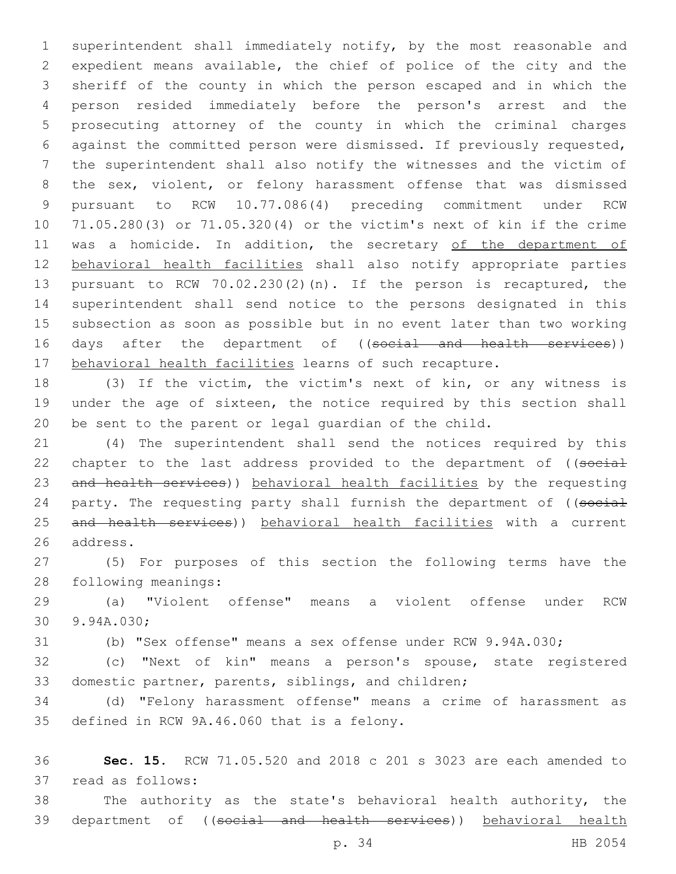superintendent shall immediately notify, by the most reasonable and expedient means available, the chief of police of the city and the sheriff of the county in which the person escaped and in which the person resided immediately before the person's arrest and the prosecuting attorney of the county in which the criminal charges against the committed person were dismissed. If previously requested, the superintendent shall also notify the witnesses and the victim of the sex, violent, or felony harassment offense that was dismissed pursuant to RCW 10.77.086(4) preceding commitment under RCW 71.05.280(3) or 71.05.320(4) or the victim's next of kin if the crime 11 was a homicide. In addition, the secretary of the department of behavioral health facilities shall also notify appropriate parties pursuant to RCW 70.02.230(2)(n). If the person is recaptured, the superintendent shall send notice to the persons designated in this subsection as soon as possible but in no event later than two working 16 days after the department of ((social and health services)) 17 behavioral health facilities learns of such recapture.

 (3) If the victim, the victim's next of kin, or any witness is under the age of sixteen, the notice required by this section shall be sent to the parent or legal guardian of the child.

 (4) The superintendent shall send the notices required by this 22 chapter to the last address provided to the department of ((social and health services)) behavioral health facilities by the requesting 24 party. The requesting party shall furnish the department of ((social 25 and health services)) behavioral health facilities with a current 26 address.

 (5) For purposes of this section the following terms have the 28 following meanings:

 (a) "Violent offense" means a violent offense under RCW 30 9.94A.030;

(b) "Sex offense" means a sex offense under RCW 9.94A.030;

 (c) "Next of kin" means a person's spouse, state registered domestic partner, parents, siblings, and children;

 (d) "Felony harassment offense" means a crime of harassment as 35 defined in RCW 9A.46.060 that is a felony.

 **Sec. 15.** RCW 71.05.520 and 2018 c 201 s 3023 are each amended to 37 read as follows:

 The authority as the state's behavioral health authority, the department of ((social and health services)) behavioral health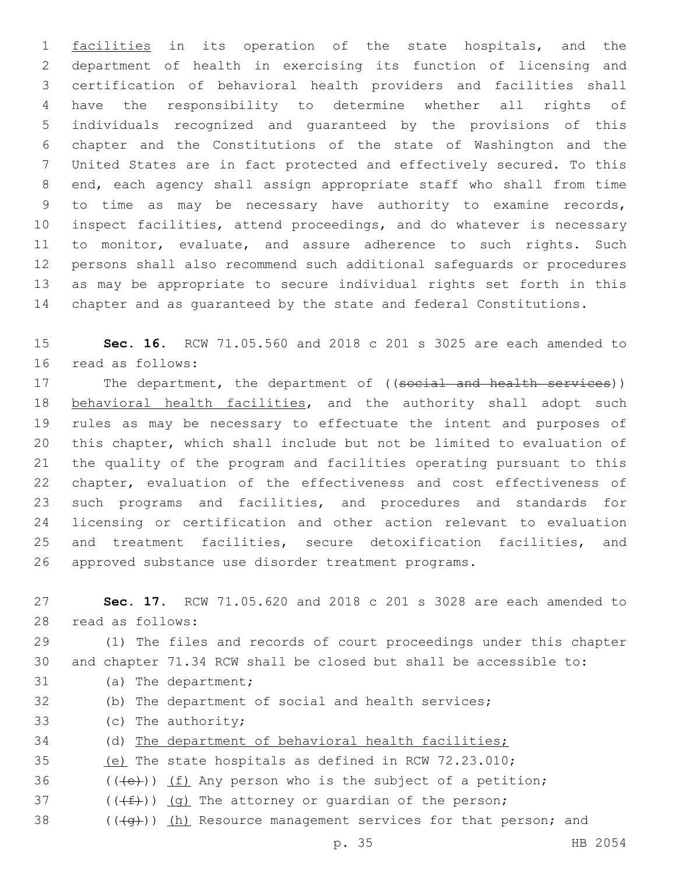1 facilities in its operation of the state hospitals, and the department of health in exercising its function of licensing and certification of behavioral health providers and facilities shall have the responsibility to determine whether all rights of individuals recognized and guaranteed by the provisions of this chapter and the Constitutions of the state of Washington and the United States are in fact protected and effectively secured. To this end, each agency shall assign appropriate staff who shall from time to time as may be necessary have authority to examine records, inspect facilities, attend proceedings, and do whatever is necessary to monitor, evaluate, and assure adherence to such rights. Such persons shall also recommend such additional safeguards or procedures as may be appropriate to secure individual rights set forth in this chapter and as guaranteed by the state and federal Constitutions.

 **Sec. 16.** RCW 71.05.560 and 2018 c 201 s 3025 are each amended to 16 read as follows:

17 The department, the department of ((social and health services)) 18 behavioral health facilities, and the authority shall adopt such rules as may be necessary to effectuate the intent and purposes of this chapter, which shall include but not be limited to evaluation of the quality of the program and facilities operating pursuant to this chapter, evaluation of the effectiveness and cost effectiveness of such programs and facilities, and procedures and standards for licensing or certification and other action relevant to evaluation and treatment facilities, secure detoxification facilities, and approved substance use disorder treatment programs.

 **Sec. 17.** RCW 71.05.620 and 2018 c 201 s 3028 are each amended to 28 read as follows:

 (1) The files and records of court proceedings under this chapter and chapter 71.34 RCW shall be closed but shall be accessible to: 31 (a) The department;

- (b) The department of social and health services;
- 33 (c) The authority;
- (d) The department of behavioral health facilities;
- (e) The state hospitals as defined in RCW 72.23.010;
- 36  $((\text{+e})^2)(\text{f})$  Any person who is the subject of a petition;
- 37  $((\text{#})) (q)$  The attorney or quardian of the person;
- 38  $((\overline{a})$  (h) Resource management services for that person; and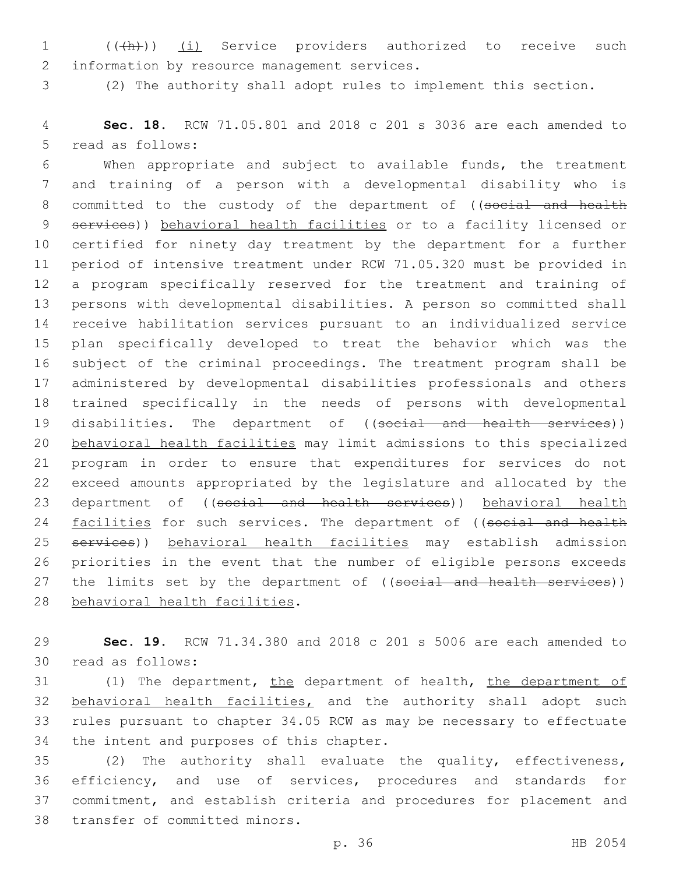1 (( $(h)$ )) (i) Service providers authorized to receive such 2 information by resource management services.

(2) The authority shall adopt rules to implement this section.

 **Sec. 18.** RCW 71.05.801 and 2018 c 201 s 3036 are each amended to 5 read as follows:

 When appropriate and subject to available funds, the treatment and training of a person with a developmental disability who is 8 committed to the custody of the department of ((social and health 9 services)) behavioral health facilities or to a facility licensed or certified for ninety day treatment by the department for a further period of intensive treatment under RCW 71.05.320 must be provided in a program specifically reserved for the treatment and training of persons with developmental disabilities. A person so committed shall receive habilitation services pursuant to an individualized service plan specifically developed to treat the behavior which was the subject of the criminal proceedings. The treatment program shall be administered by developmental disabilities professionals and others trained specifically in the needs of persons with developmental 19 disabilities. The department of ((social and health services)) behavioral health facilities may limit admissions to this specialized program in order to ensure that expenditures for services do not exceed amounts appropriated by the legislature and allocated by the 23 department of ((social and health services)) behavioral health 24 facilities for such services. The department of ((social and health services)) behavioral health facilities may establish admission priorities in the event that the number of eligible persons exceeds 27 the limits set by the department of ((social and health services)) 28 behavioral health facilities.

 **Sec. 19.** RCW 71.34.380 and 2018 c 201 s 5006 are each amended to 30 read as follows:

 (1) The department, the department of health, the department of behavioral health facilities, and the authority shall adopt such rules pursuant to chapter 34.05 RCW as may be necessary to effectuate 34 the intent and purposes of this chapter.

 (2) The authority shall evaluate the quality, effectiveness, efficiency, and use of services, procedures and standards for commitment, and establish criteria and procedures for placement and 38 transfer of committed minors.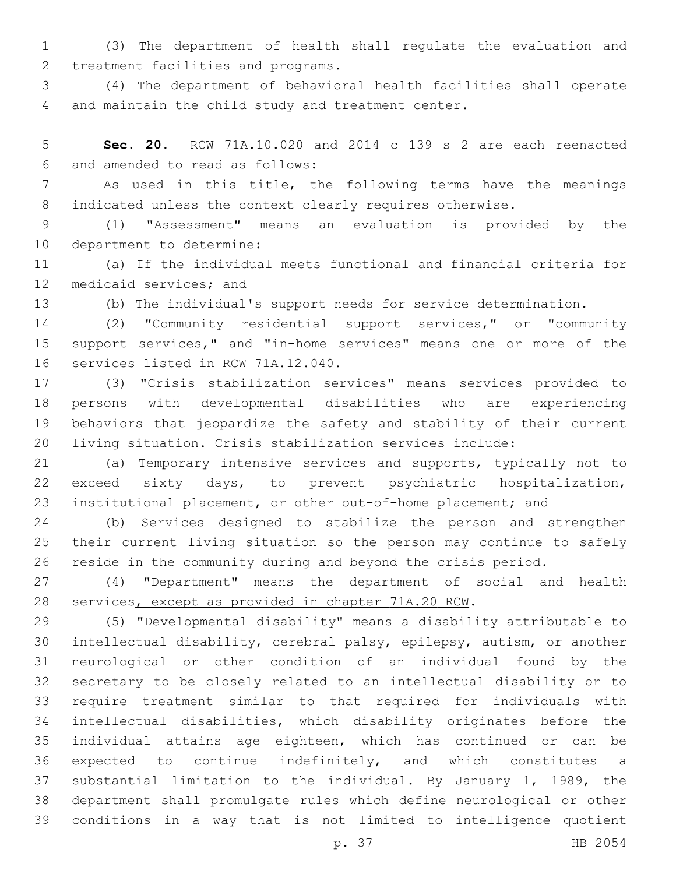(3) The department of health shall regulate the evaluation and 2 treatment facilities and programs.

 (4) The department of behavioral health facilities shall operate 4 and maintain the child study and treatment center.

 **Sec. 20.** RCW 71A.10.020 and 2014 c 139 s 2 are each reenacted and amended to read as follows:6

 As used in this title, the following terms have the meanings 8 indicated unless the context clearly requires otherwise.

 (1) "Assessment" means an evaluation is provided by the 10 department to determine:

 (a) If the individual meets functional and financial criteria for 12 medicaid services; and

(b) The individual's support needs for service determination.

 (2) "Community residential support services," or "community support services," and "in-home services" means one or more of the 16 services listed in RCW 71A.12.040.

 (3) "Crisis stabilization services" means services provided to persons with developmental disabilities who are experiencing behaviors that jeopardize the safety and stability of their current living situation. Crisis stabilization services include:

 (a) Temporary intensive services and supports, typically not to exceed sixty days, to prevent psychiatric hospitalization, institutional placement, or other out-of-home placement; and

 (b) Services designed to stabilize the person and strengthen their current living situation so the person may continue to safely reside in the community during and beyond the crisis period.

 (4) "Department" means the department of social and health services, except as provided in chapter 71A.20 RCW.

 (5) "Developmental disability" means a disability attributable to intellectual disability, cerebral palsy, epilepsy, autism, or another neurological or other condition of an individual found by the secretary to be closely related to an intellectual disability or to require treatment similar to that required for individuals with intellectual disabilities, which disability originates before the individual attains age eighteen, which has continued or can be expected to continue indefinitely, and which constitutes a substantial limitation to the individual. By January 1, 1989, the department shall promulgate rules which define neurological or other conditions in a way that is not limited to intelligence quotient

p. 37 HB 2054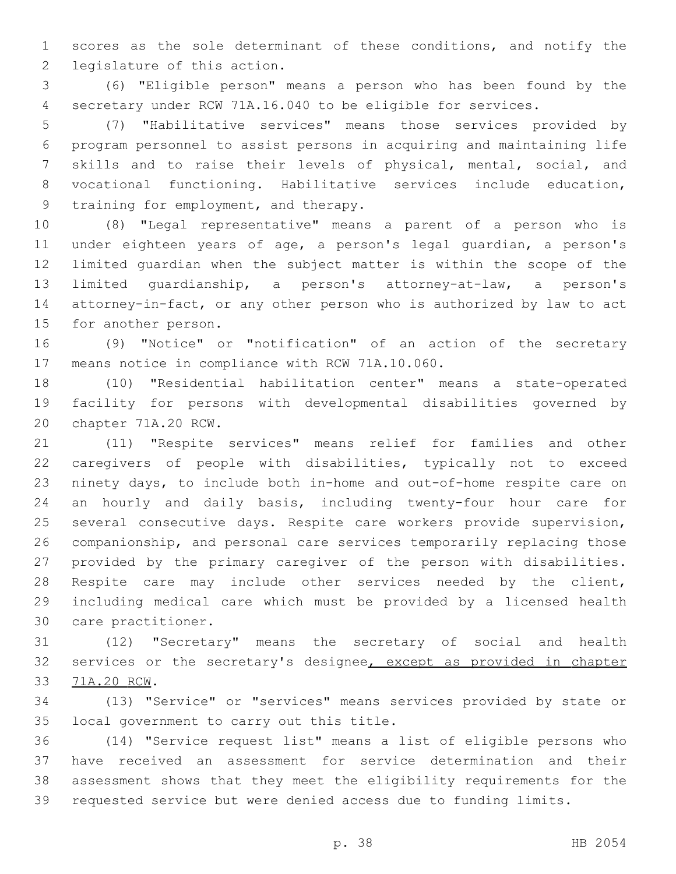scores as the sole determinant of these conditions, and notify the 2 legislature of this action.

 (6) "Eligible person" means a person who has been found by the secretary under RCW 71A.16.040 to be eligible for services.

 (7) "Habilitative services" means those services provided by program personnel to assist persons in acquiring and maintaining life skills and to raise their levels of physical, mental, social, and vocational functioning. Habilitative services include education, 9 training for employment, and therapy.

 (8) "Legal representative" means a parent of a person who is under eighteen years of age, a person's legal guardian, a person's limited guardian when the subject matter is within the scope of the limited guardianship, a person's attorney-at-law, a person's attorney-in-fact, or any other person who is authorized by law to act 15 for another person.

 (9) "Notice" or "notification" of an action of the secretary 17 means notice in compliance with RCW 71A.10.060.

 (10) "Residential habilitation center" means a state-operated facility for persons with developmental disabilities governed by 20 chapter 71A.20 RCW.

 (11) "Respite services" means relief for families and other caregivers of people with disabilities, typically not to exceed ninety days, to include both in-home and out-of-home respite care on an hourly and daily basis, including twenty-four hour care for several consecutive days. Respite care workers provide supervision, companionship, and personal care services temporarily replacing those provided by the primary caregiver of the person with disabilities. Respite care may include other services needed by the client, including medical care which must be provided by a licensed health 30 care practitioner.

 (12) "Secretary" means the secretary of social and health 32 services or the secretary's designee, except as provided in chapter 71A.20 RCW.33

 (13) "Service" or "services" means services provided by state or 35 local government to carry out this title.

 (14) "Service request list" means a list of eligible persons who have received an assessment for service determination and their assessment shows that they meet the eligibility requirements for the requested service but were denied access due to funding limits.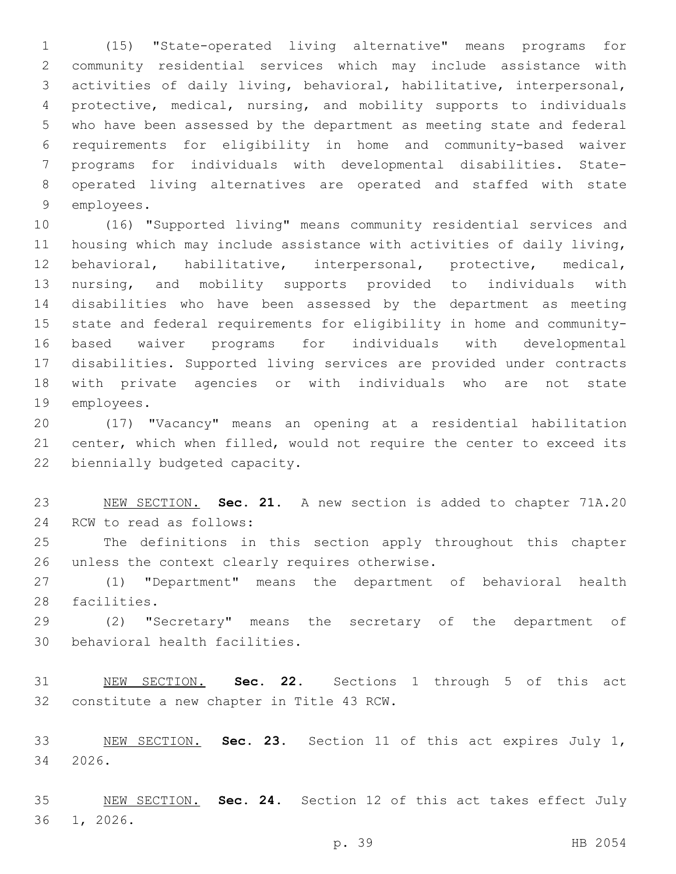(15) "State-operated living alternative" means programs for community residential services which may include assistance with activities of daily living, behavioral, habilitative, interpersonal, protective, medical, nursing, and mobility supports to individuals who have been assessed by the department as meeting state and federal requirements for eligibility in home and community-based waiver programs for individuals with developmental disabilities. State- operated living alternatives are operated and staffed with state 9 employees.

 (16) "Supported living" means community residential services and housing which may include assistance with activities of daily living, behavioral, habilitative, interpersonal, protective, medical, nursing, and mobility supports provided to individuals with disabilities who have been assessed by the department as meeting state and federal requirements for eligibility in home and community- based waiver programs for individuals with developmental disabilities. Supported living services are provided under contracts with private agencies or with individuals who are not state 19 employees.

 (17) "Vacancy" means an opening at a residential habilitation center, which when filled, would not require the center to exceed its 22 biennially budgeted capacity.

 NEW SECTION. **Sec. 21.** A new section is added to chapter 71A.20 24 RCW to read as follows:

 The definitions in this section apply throughout this chapter 26 unless the context clearly requires otherwise.

 (1) "Department" means the department of behavioral health 28 facilities.

 (2) "Secretary" means the secretary of the department of 30 behavioral health facilities.

 NEW SECTION. **Sec. 22.** Sections 1 through 5 of this act constitute a new chapter in Title 43 RCW.

 NEW SECTION. **Sec. 23.** Section 11 of this act expires July 1, 2026.

 NEW SECTION. **Sec. 24.** Section 12 of this act takes effect July 36 1, 2026.